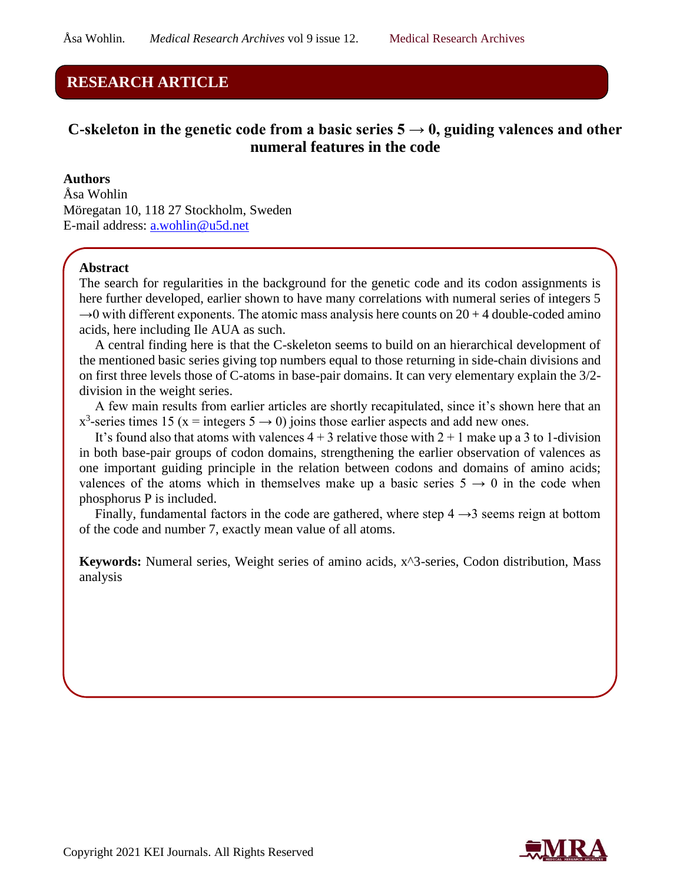# **RESEARCH ARTICLE**

# C-skeleton in the genetic code from a basic series  $5 \rightarrow 0$ , guiding valences and other **numeral features in the code**

**Authors**  Åsa Wohlin Möregatan 10, 118 27 Stockholm, Sweden E-mail address: [a.wohlin@u5d.net](mailto:a.wohlin@u5d.net)

### **Abstract**

The search for regularities in the background for the genetic code and its codon assignments is here further developed, earlier shown to have many correlations with numeral series of integers 5  $\rightarrow$ 0 with different exponents. The atomic mass analysis here counts on 20 + 4 double-coded amino acids, here including Ile AUA as such.

A central finding here is that the C-skeleton seems to build on an hierarchical development of the mentioned basic series giving top numbers equal to those returning in side-chain divisions and on first three levels those of C-atoms in base-pair domains. It can very elementary explain the 3/2 division in the weight series.

A few main results from earlier articles are shortly recapitulated, since it's shown here that an  $x^3$ -series times 15 (x = integers 5  $\rightarrow$  0) joins those earlier aspects and add new ones.

It's found also that atoms with valences  $4 + 3$  relative those with  $2 + 1$  make up a 3 to 1-division in both base-pair groups of codon domains, strengthening the earlier observation of valences as one important guiding principle in the relation between codons and domains of amino acids; valences of the atoms which in themselves make up a basic series  $5 \rightarrow 0$  in the code when phosphorus P is included.

Finally, fundamental factors in the code are gathered, where step  $4 \rightarrow 3$  seems reign at bottom of the code and number 7, exactly mean value of all atoms.

**Keywords:** Numeral series, Weight series of amino acids, x^3-series, Codon distribution, Mass analysis

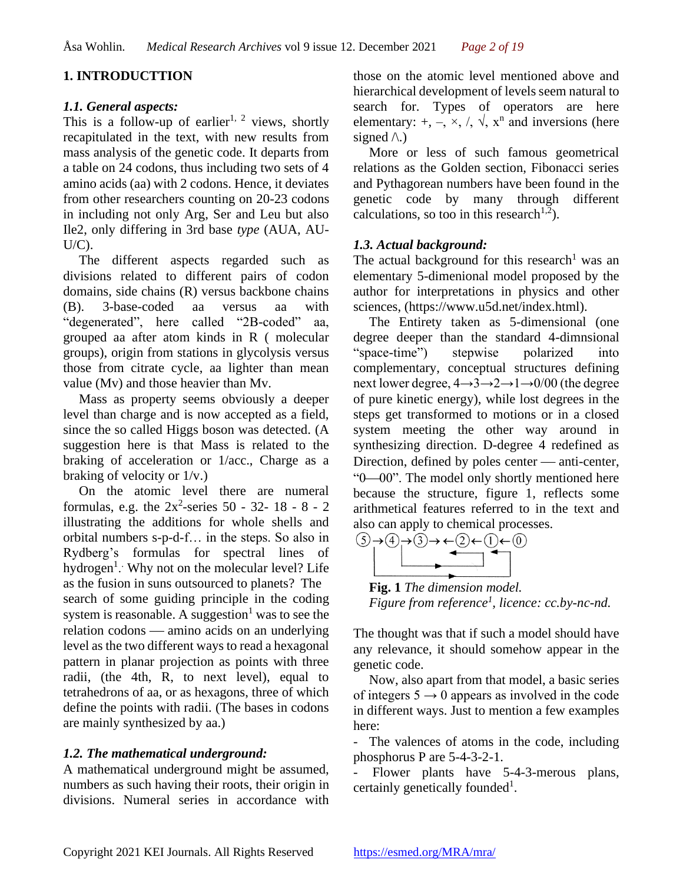## **1. INTRODUCTTION**

### *1.1. General aspects:*

This is a follow-up of earlier<sup>1, 2</sup> views, shortly recapitulated in the text, with new results from mass analysis of the genetic code. It departs from a table on 24 codons, thus including two sets of 4 amino acids (aa) with 2 codons. Hence, it deviates from other researchers counting on 20-23 codons in including not only Arg, Ser and Leu but also Ile2, only differing in 3rd base *type* (AUA, AU-U/C).

The different aspects regarded such as divisions related to different pairs of codon domains, side chains (R) versus backbone chains (B). 3-base-coded aa versus aa with "degenerated", here called "2B-coded" aa, grouped aa after atom kinds in R ( molecular groups), origin from stations in glycolysis versus those from citrate cycle, aa lighter than mean value (Mv) and those heavier than Mv.

Mass as property seems obviously a deeper level than charge and is now accepted as a field, since the so called Higgs boson was detected. (A suggestion here is that Mass is related to the braking of acceleration or 1/acc., Charge as a braking of velocity or 1/v.)

On the atomic level there are numeral formulas, e.g. the  $2x^2$ -series 50 - 32- 18 - 8 - 2 illustrating the additions for whole shells and orbital numbers s-p-d-f… in the steps. So also in Rydberg's formulas for spectral lines of hydrogen<sup>1</sup>. Why not on the molecular level? Life as the fusion in suns outsourced to planets? The search of some guiding principle in the coding system is reasonable. A suggestion<sup>1</sup> was to see the relation codons — amino acids on an underlying level as the two different ways to read a hexagonal pattern in planar projection as points with three radii, (the 4th, R, to next level), equal to tetrahedrons of aa, or as hexagons, three of which define the points with radii. (The bases in codons are mainly synthesized by aa.)

## *1.2. The mathematical underground:*

A mathematical underground might be assumed, numbers as such having their roots, their origin in divisions. Numeral series in accordance with those on the atomic level mentioned above and hierarchical development of levels seem natural to search for. Types of operators are here elementary:  $+$ ,  $-$ ,  $\times$ ,  $/$ ,  $\sqrt{ }$ ,  $x^{n}$  and inversions (here signed  $\wedge$ .)

More or less of such famous geometrical relations as the Golden section, Fibonacci series and Pythagorean numbers have been found in the genetic code by many through different calculations, so too in this research<sup>1,2</sup>).

## *1.3. Actual background:*

The actual background for this research<sup>1</sup> was an elementary 5-dimenional model proposed by the author for interpretations in physics and other sciences, (https://www.u5d.net/index.html).

The Entirety taken as 5-dimensional (one degree deeper than the standard 4-dimnsional "space-time") stepwise polarized into complementary, conceptual structures defining next lower degree, 4→3→2→1→0/00 (the degree of pure kinetic energy), while lost degrees in the steps get transformed to motions or in a closed system meeting the other way around in synthesizing direction. D-degree 4 redefined as Direction, defined by poles center — anti-center, "0—00". The model only shortly mentioned here because the structure, figure 1, reflects some arithmetical features referred to in the text and also can apply to chemical processes.



**Fig. 1** *The dimension model. Figure from reference<sup>1</sup> , licence: cc.by-nc-nd.*

The thought was that if such a model should have any relevance, it should somehow appear in the genetic code.

Now, also apart from that model, a basic series of integers  $5 \rightarrow 0$  appears as involved in the code in different ways. Just to mention a few examples here:

- The valences of atoms in the code, including phosphorus P are 5-4-3-2-1.

- Flower plants have 5-4-3-merous plans, certainly genetically founded<sup>1</sup>.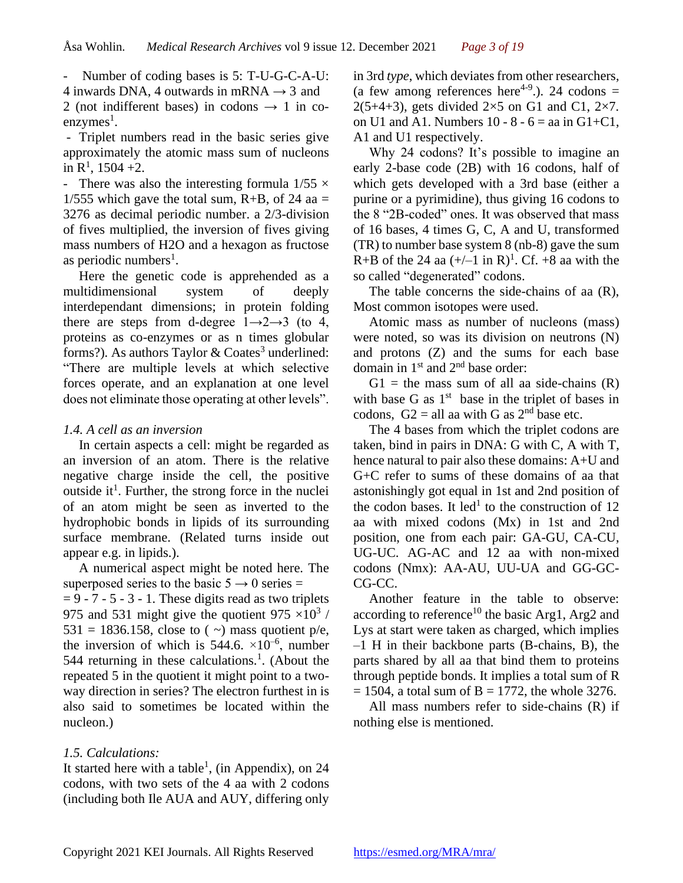Number of coding bases is 5: T-U-G-C-A-U: 4 inwards DNA, 4 outwards in mRNA  $\rightarrow$  3 and 2 (not indifferent bases) in codons  $\rightarrow$  1 in coenzymes<sup>1</sup>.

- Triplet numbers read in the basic series give approximately the atomic mass sum of nucleons in  $R^1$ , 1504 +2.

- There was also the interesting formula  $1/55 \times$  $1/555$  which gave the total sum, R+B, of 24 aa = 3276 as decimal periodic number. a 2/3-division of fives multiplied, the inversion of fives giving mass numbers of H2O and a hexagon as fructose as periodic numbers<sup>1</sup>.

Here the genetic code is apprehended as a multidimensional system of deeply interdependant dimensions; in protein folding there are steps from d-degree  $1 \rightarrow 2 \rightarrow 3$  (to 4, proteins as co-enzymes or as n times globular forms?). As authors Taylor & Coates<sup>3</sup> underlined: "There are multiple levels at which selective forces operate, and an explanation at one level does not eliminate those operating at other levels".

### *1.4. A cell as an inversion*

In certain aspects a cell: might be regarded as an inversion of an atom. There is the relative negative charge inside the cell, the positive outside it<sup>1</sup>. Further, the strong force in the nuclei of an atom might be seen as inverted to the hydrophobic bonds in lipids of its surrounding surface membrane. (Related turns inside out appear e.g. in lipids.).

A numerical aspect might be noted here. The superposed series to the basic  $5 \rightarrow 0$  series =

 $= 9 - 7 - 5 - 3 - 1$ . These digits read as two triplets 975 and 531 might give the quotient 975  $\times$ 10<sup>3</sup> / 531 = 1836.158, close to  $($   $\sim)$  mass quotient p/e, the inversion of which is  $544.6. \times 10^{-6}$ , number 544 returning in these calculations.<sup>1</sup>. (About the repeated 5 in the quotient it might point to a twoway direction in series? The electron furthest in is also said to sometimes be located within the nucleon.)

### *1.5. Calculations:*

It started here with a table<sup>1</sup>, (in Appendix), on 24 codons, with two sets of the 4 aa with 2 codons (including both Ile AUA and AUY, differing only

in 3rd *type*, which deviates from other researchers, (a few among references here<sup>4-9</sup>.). 24 codons =  $2(5+4+3)$ , gets divided  $2\times 5$  on G1 and C1,  $2\times 7$ . on U1 and A1. Numbers  $10 - 8 - 6 =$  aa in G1+C1, A1 and U1 respectively.

Why 24 codons? It's possible to imagine an early 2-base code (2B) with 16 codons, half of which gets developed with a 3rd base (either a purine or a pyrimidine), thus giving 16 codons to the 8 "2B-coded" ones. It was observed that mass of 16 bases, 4 times G, C, A and U, transformed (TR) to number base system 8 (nb-8) gave the sum R+B of the 24 aa  $(+/-1 \text{ in R})^1$ . Cf. +8 aa with the so called "degenerated" codons.

The table concerns the side-chains of aa (R), Most common isotopes were used.

Atomic mass as number of nucleons (mass) were noted, so was its division on neutrons (N) and protons (Z) and the sums for each base domain in 1<sup>st</sup> and 2<sup>nd</sup> base order:

 $G1$  = the mass sum of all aa side-chains  $(R)$ with base G as  $1<sup>st</sup>$  base in the triplet of bases in codons,  $G2 = all$  aa with G as  $2<sup>nd</sup>$  base etc.

The 4 bases from which the triplet codons are taken, bind in pairs in DNA: G with C, A with T, hence natural to pair also these domains: A+U and G+C refer to sums of these domains of aa that astonishingly got equal in 1st and 2nd position of the codon bases. It led<sup>1</sup> to the construction of 12 aa with mixed codons (Mx) in 1st and 2nd position, one from each pair: GA-GU, CA-CU, UG-UC. AG-AC and 12 aa with non-mixed codons (Nmx): AA-AU, UU-UA and GG-GC-CG-CC.

Another feature in the table to observe: according to reference<sup>10</sup> the basic Arg1, Arg2 and Lys at start were taken as charged, which implies –1 H in their backbone parts (B-chains, B), the parts shared by all aa that bind them to proteins through peptide bonds. It implies a total sum of R  $= 1504$ , a total sum of B  $= 1772$ , the whole 3276.

All mass numbers refer to side-chains (R) if nothing else is mentioned.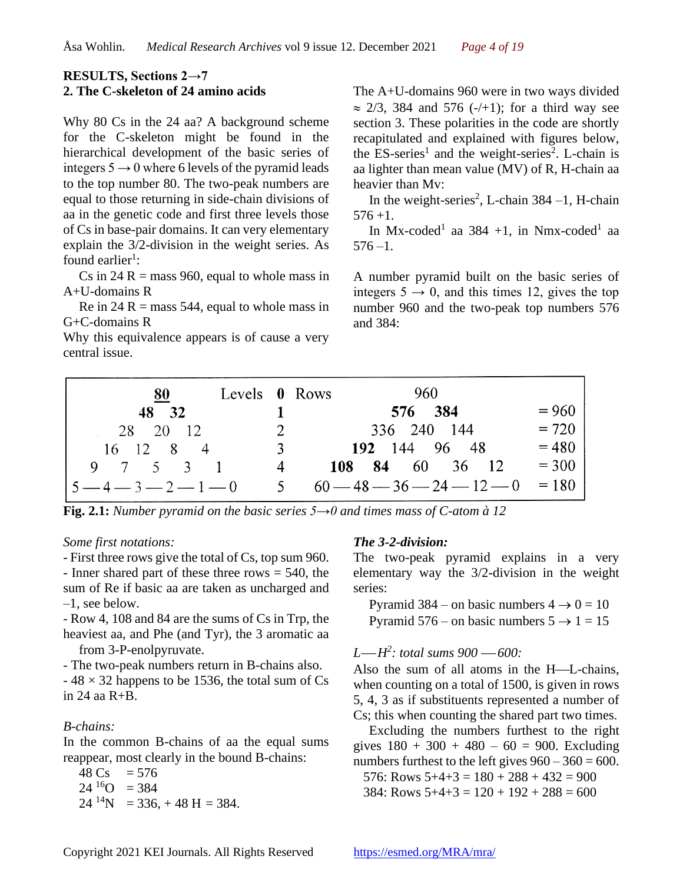### **RESULTS, Sections 2→7 2. The C-skeleton of 24 amino acids**

Why 80 Cs in the 24 aa? A background scheme for the C-skeleton might be found in the hierarchical development of the basic series of integers  $5 \rightarrow 0$  where 6 levels of the pyramid leads to the top number 80. The two-peak numbers are equal to those returning in side-chain divisions of aa in the genetic code and first three levels those of Cs in base-pair domains. It can very elementary explain the 3/2-division in the weight series. As found earlier<sup>1</sup>:

Cs in  $24$  R = mass 960, equal to whole mass in A+U-domains R

Re in 24 R = mass 544, equal to whole mass in G+C-domains R

Why this equivalence appears is of cause a very central issue.

The A+U-domains 960 were in two ways divided  $\approx$  2/3, 384 and 576 (-/+1); for a third way see section 3. These polarities in the code are shortly recapitulated and explained with figures below, the  $ES$ -series<sup>1</sup> and the weight-series<sup>2</sup>. L-chain is aa lighter than mean value (MV) of R, H-chain aa heavier than Mv:

In the weight-series<sup>2</sup>, L-chain  $384 - 1$ , H-chain 576 +1.

In Mx-coded<sup>1</sup> aa 384 +1, in Nmx-coded<sup>1</sup> aa  $576 - 1$ .

A number pyramid built on the basic series of integers  $5 \rightarrow 0$ , and this times 12, gives the top number 960 and the two-peak top numbers 576 and 384:

| Levels 0 Rows<br>80        | - 960 -                                   |         |
|----------------------------|-------------------------------------------|---------|
| 48 32                      | 576 384                                   | $= 960$ |
| 28 20 12<br>$\overline{2}$ | 336 240 144                               | $= 720$ |
| $16 \t12 \t8 \t4$          | 192 144 96 48<br>$\mathcal{R}$            | $= 480$ |
| 9 7 5 3 1                  | 108 84 60 36 12                           | $= 300$ |
| $5 - 4 - 3 - 2 - 1 - 0$    | $5\quad 60 - 48 - 36 - 24 - 12 - 0 = 180$ |         |

**Fig. 2.1:** *Number pyramid on the basic series 5→0 and times mass of C-atom à 12*

#### *Some first notations:*

- First three rows give the total of Cs, top sum 960. - Inner shared part of these three rows = 540, the sum of Re if basic aa are taken as uncharged and –1, see below.

- Row 4, 108 and 84 are the sums of Cs in Trp, the heaviest aa, and Phe (and Tyr), the 3 aromatic aa from 3-P-enolpyruvate.

- The two-peak numbers return in B-chains also.

 $-48 \times 32$  happens to be 1536, the total sum of Cs in  $24$  aa  $R + R$ .

### *B-chains:*

In the common B-chains of aa the equal sums reappear, most clearly in the bound B-chains:

 $48 \text{Cs} = 576$  $24^{16}O = 384$  $24^{14}N = 336, +48$  H = 384.

### *The 3-2-division:*

The two-peak pyramid explains in a very elementary way the 3/2-division in the weight series:

Pyramid 384 – on basic numbers  $4 \rightarrow 0 = 10$ Pyramid 576 – on basic numbers  $5 \rightarrow 1 = 15$ 

## *L*—*H*<sup>2</sup>: total sums 900 —600:

Also the sum of all atoms in the H—L-chains, when counting on a total of 1500, is given in rows 5, 4, 3 as if substituents represented a number of Cs; this when counting the shared part two times.

Excluding the numbers furthest to the right gives  $180 + 300 + 480 - 60 = 900$ . Excluding numbers furthest to the left gives  $960 - 360 = 600$ .

576: Rows  $5+4+3 = 180 + 288 + 432 = 900$ 

 $384:$  Rows  $5+4+3 = 120 + 192 + 288 = 600$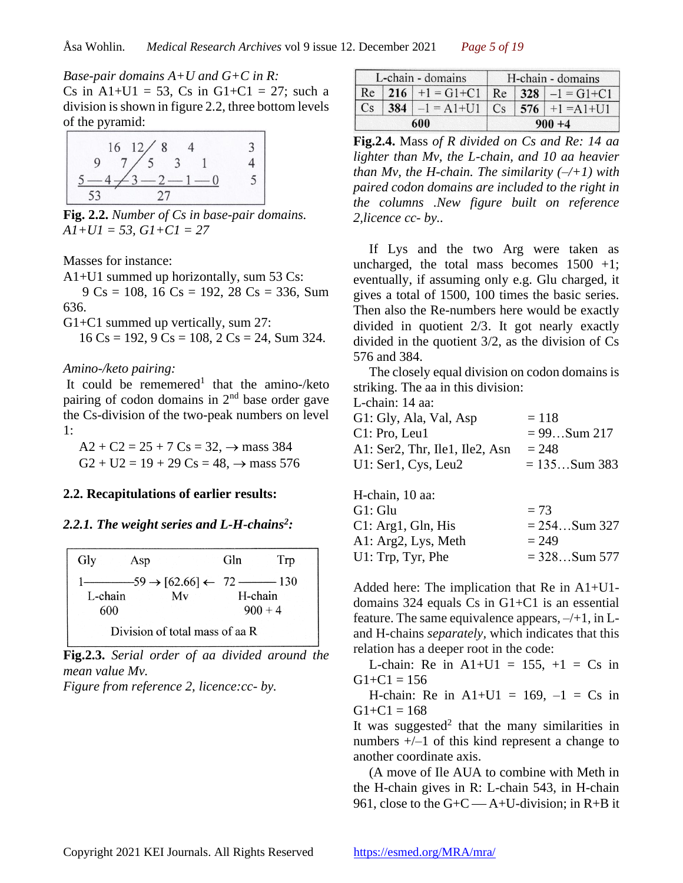*Base-pair domains A+U and G+C in R:*  Cs in A1+U1 = 53, Cs in G1+C1 = 27; such a division is shown in figure 2.2, three bottom levels of the pyramid:

**Fig. 2.2.** *Number of Cs in base-pair domains. A1+U1 = 53, G1+C1 = 27*

Masses for instance:

A1+U1 summed up horizontally, sum 53 Cs:

 $9 \text{Cs} = 108$ ,  $16 \text{Cs} = 192$ ,  $28 \text{Cs} = 336$ , Sum 636.

G1+C1 summed up vertically, sum 27:

 $16 \text{Cs} = 192$ ,  $9 \text{Cs} = 108$ ,  $2 \text{Cs} = 24$ , Sum 324.

#### *Amino-/keto pairing:*

It could be rememered<sup>1</sup> that the amino-/keto pairing of codon domains in  $2<sup>nd</sup>$  base order gave the Cs-division of the two-peak numbers on level 1:

 $A2 + C2 = 25 + 7 Cs = 32, \rightarrow \text{mass } 384$  $G2 + U2 = 19 + 29 \text{ Cs} = 48, \rightarrow \text{mass } 576$ 

### **2.2. Recapitulations of earlier results:**

#### *2.2.1. The weight series and L-H-chains<sup>2</sup> :*

| Gly<br>Asp                     | Gln<br>Trp |
|--------------------------------|------------|
|                                |            |
| L-chain<br>Mv                  | H-chain    |
| 600                            | $900 + 4$  |
| Division of total mass of aa R |            |

**Fig.2.3.** *Serial order of aa divided around the mean value Mv.*

*Figure from reference 2, licence:cc- by.*

| L-chain - domains |  |                                               |  | H-chain - domains       |
|-------------------|--|-----------------------------------------------|--|-------------------------|
|                   |  | Re   216   +1 = G1+C1   Re   328   -1 = G1+C1 |  |                         |
| Cs                |  | $384$   $-1$ = A1+U1                          |  | $Cs$   576   +1 = A1+U1 |
| 600               |  |                                               |  | $900 + 4$               |

**Fig.2.4.** Mass *of R divided on Cs and Re: 14 aa lighter than Mv, the L-chain, and 10 aa heavier than Mv, the H-chain. The similarity*  $(-/+1)$  *with paired codon domains are included to the right in the columns .New figure built on reference 2,licence cc- by..*

If Lys and the two Arg were taken as uncharged, the total mass becomes  $1500 +1$ ; eventually, if assuming only e.g. Glu charged, it gives a total of 1500, 100 times the basic series. Then also the Re-numbers here would be exactly divided in quotient 2/3. It got nearly exactly divided in the quotient 3/2, as the division of Cs 576 and 384.

The closely equal division on codon domains is striking. The aa in this division:

| L-chain: 14 aa: |  |  |
|-----------------|--|--|
|-----------------|--|--|

| G1: Gly, Ala, Val, Asp         | $=118$          |
|--------------------------------|-----------------|
| C1: Pro, Leu1                  | $= 99$ Sum 217  |
| A1: Ser2, Thr, Ile1, Ile2, Asn | $= 248$         |
| U1: Ser1, Cys, Leu2            | $= 135$ Sum 383 |

| H-chain, 10 aa:     |                 |
|---------------------|-----------------|
| G1: Glu             | $= 73$          |
| Cl: Arg1, Gln, His  | $= 254$ Sum 327 |
| A1: Arg2, Lys, Meth | $= 249$         |
| U1: Trp, Tyr, Phe   | $= 328$ Sum 577 |
|                     |                 |

Added here: The implication that Re in A1+U1 domains 324 equals Cs in G1+C1 is an essential feature. The same equivalence appears,  $-\ell+1$ , in Land H-chains *separately,* which indicates that this relation has a deeper root in the code:

L-chain: Re in  $A1+U1 = 155$ ,  $+1 = Cs$  in  $G1 + C1 = 156$ 

H-chain: Re in  $A1+U1 = 169$ ,  $-1 = Cs$  in  $G1 + C1 = 168$ 

It was suggested<sup>2</sup> that the many similarities in numbers +/–1 of this kind represent a change to another coordinate axis.

(A move of Ile AUA to combine with Meth in the H-chain gives in R: L-chain 543, in H-chain 961, close to the  $G + C \rightarrow A + U$ -division; in R+B it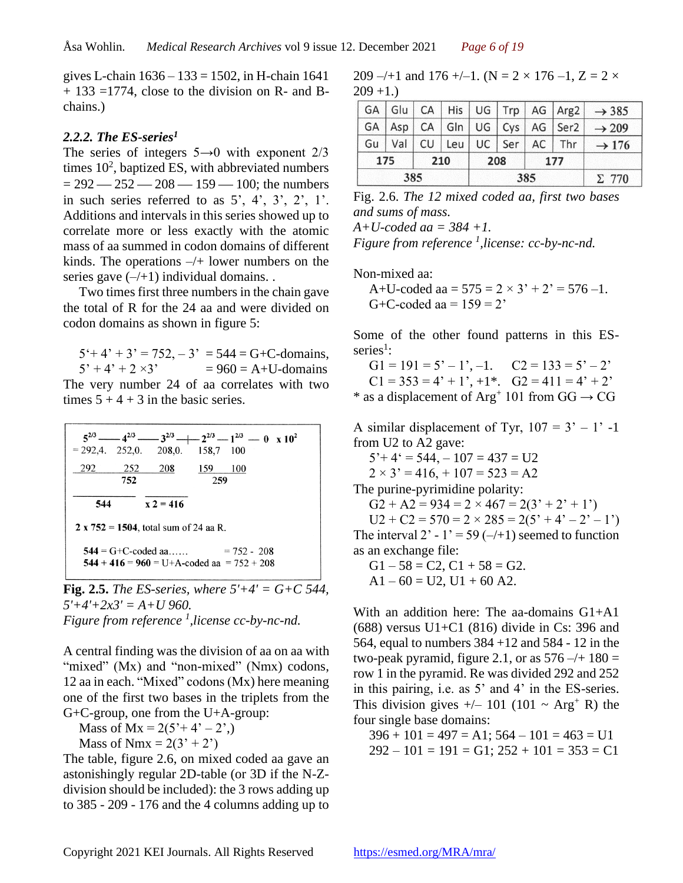gives L-chain  $1636 - 133 = 1502$ , in H-chain 1641 + 133 =1774, close to the division on R- and Bchains.)

### *2.2.2. The ES-series<sup>1</sup>*

The series of integers  $5\rightarrow 0$  with exponent  $2/3$ times  $10^2$ , baptized ES, with abbreviated numbers  $= 292 - 252 - 208 - 159 - 100$ ; the numbers in such series referred to as  $5'$ ,  $4'$ ,  $3'$ ,  $2'$ ,  $1'$ . Additions and intervals in this series showed up to correlate more or less exactly with the atomic mass of aa summed in codon domains of different kinds. The operations  $-\prime$ + lower numbers on the series gave  $(-/+1)$  individual domains.

Two times first three numbers in the chain gave the total of R for the 24 aa and were divided on codon domains as shown in figure 5:

 $5' + 4' + 3' = 752, -3' = 544 = G + C$ -domains,  $5' + 4' + 2 \times 3' = 960 = A + U$ -domains The very number 24 of aa correlates with two times  $5 + 4 + 3$  in the basic series.

|       |     |                                          |     | $5^{2/3}$ -4 <sup>2/3</sup> - $3^{2/3}$ -1 $2^{2/3}$ -1 <sup>2/3</sup> - 0 x 10 <sup>2</sup> |
|-------|-----|------------------------------------------|-----|----------------------------------------------------------------------------------------------|
|       |     | $= 292,4.$ 252,0. 208,0. 158,7 100       |     |                                                                                              |
| 292 F | 252 | <b>208</b>                               | 159 | 100                                                                                          |
|       | 752 |                                          | 259 |                                                                                              |
|       |     |                                          |     |                                                                                              |
| 544   |     | $x 2 = 416$                              |     |                                                                                              |
|       |     | 2 x $752 = 1504$ , total sum of 24 aa R. |     |                                                                                              |
|       |     |                                          |     | $544 = G + C$ -coded aa $= 752 - 208$                                                        |
|       |     |                                          |     | $544 + 416 = 960 = U+A$ -coded aa = 752 + 208                                                |
|       |     |                                          |     |                                                                                              |

**Fig. 2.5.** *The ES-series, where*  $5'+4' = G + C$  544,  $5'+4'+2x3' = A+U$  960. *Figure from reference <sup>1</sup> ,license cc-by-nc-nd.*

A central finding was the division of aa on aa with "mixed" (Mx) and "non-mixed" (Nmx) codons, 12 aa in each. "Mixed" codons (Mx) here meaning one of the first two bases in the triplets from the G+C-group, one from the U+A-group:

Mass of  $Mx = 2(5'+4'-2',)$ 

Mass of Nmx =  $2(3' + 2')$ 

The table, figure 2.6, on mixed coded aa gave an astonishingly regular 2D-table (or 3D if the N-Zdivision should be included): the 3 rows adding up to 385 - 209 - 176 and the 4 columns adding up to

209 –/+1 and 176 +/–1. (N = 2 × 176 –1, Z = 2  $\times$  $209 + 1.$ 

| 175 | 210<br>177<br>208 |  |  |                                  |  |                                                  |
|-----|-------------------|--|--|----------------------------------|--|--------------------------------------------------|
|     | $Gu$ Val          |  |  | $CU$   Leu   UC   Ser   AC   Thr |  | $\rightarrow$ 176                                |
|     |                   |  |  |                                  |  | GA $ Asp CA Gln UG Cys AG Ser2  \rightarrow 209$ |
|     |                   |  |  |                                  |  | $ GA Glu CA His UG Trp AG Arg2  \rightarrow 385$ |

Fig. 2.6. *The 12 mixed coded aa, first two bases and sums of mass.*

*A+U-coded aa = 384 +1.*

*Figure from reference*<sup>1</sup>, *license: cc-by-nc-nd.* 

Non-mixed aa:

A+U-coded aa =  $575 = 2 \times 3' + 2' = 576 -1$ . G+C-coded aa =  $159 = 2$ '

Some of the other found patterns in this ESseries<sup>1</sup>:

 $G1 = 191 = 5' - 1', -1.$   $C2 = 133 = 5' - 2'$  $C1 = 353 = 4' + 1', +1^*$ .  $G2 = 411 = 4' + 2'$ \* as a displacement of  $Arg^+$  101 from  $GG \rightarrow CG$ 

A similar displacement of Tyr,  $107 = 3' - 1'$  -1 from U2 to A2 gave:  $5'+4' = 544, -107 = 437 = U2$  $2 \times 3' = 416$ ,  $+ 107 = 523 = A2$ The purine-pyrimidine polarity:  $G2 + A2 = 934 = 2 \times 467 = 2(3' + 2' + 1')$  $U2 + C2 = 570 = 2 \times 285 = 2(5^{\circ} + 4^{\circ} - 2^{\circ} - 1^{\circ})$ The interval 2' - 1' = 59 ( $-\left(+1\right)$  seemed to function as an exchange file:  $G1 - 58 = C2$ ,  $C1 + 58 = G2$ .

 $A1 - 60 = U2$ ,  $U1 + 60$  A2.

With an addition here: The aa-domains G1+A1 (688) versus U1+C1 (816) divide in Cs: 396 and 564, equal to numbers 384 +12 and 584 - 12 in the two-peak pyramid, figure 2.1, or as  $576 - (+180) =$ row 1 in the pyramid. Re was divided 292 and 252 in this pairing, i.e. as 5' and 4' in the ES-series. This division gives  $+/- 101 (101 ~ X\text{erg}^+ R)$  the four single base domains:

 $396 + 101 = 497 = A1$ ;  $564 - 101 = 463 = U1$  $292 - 101 = 191 = G1$ ;  $252 + 101 = 353 = C1$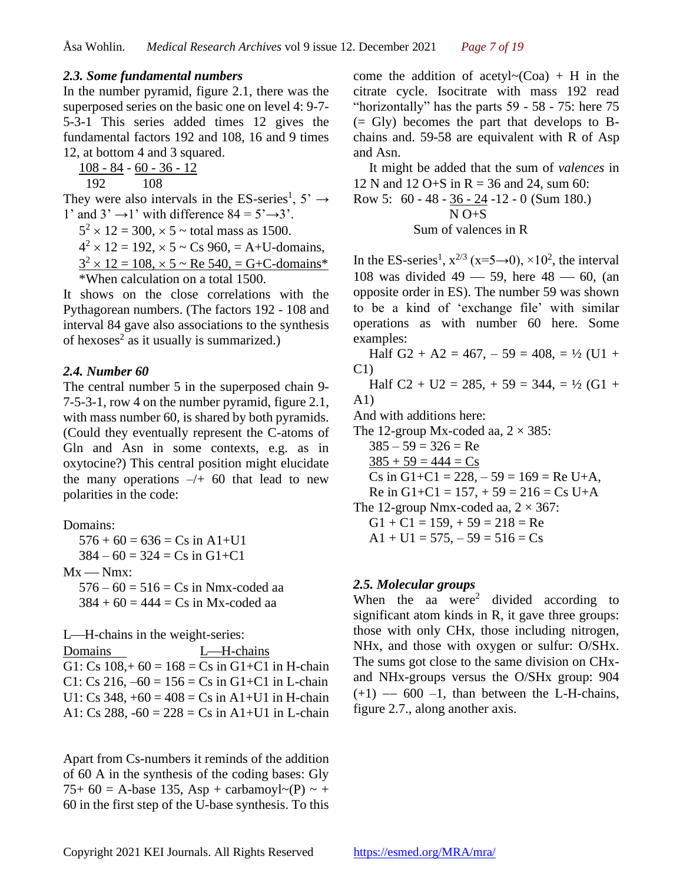#### *2.3. Some fundamental numbers*

In the number pyramid, figure 2.1, there was the superposed series on the basic one on level 4: 9-7- 5-3-1 This series added times 12 gives the fundamental factors 192 and 108, 16 and 9 times 12, at bottom 4 and 3 squared.

108 - 84 - 60 - 36 - 12

192 108

They were also intervals in the ES-series<sup>1</sup>,  $5' \rightarrow$ 1' and  $3' \rightarrow 1'$  with difference  $84 = 5' \rightarrow 3'$ .

 $5^2 \times 12 = 300, \times 5 \sim$  total mass as 1500.

 $4^{2} \times 12 = 192$ ,  $\times$  5 ~ Cs 960, = A+U-domains,

 $3^{2} \times 12 = 108$ ,  $\times$  5 ~ Re 540, = G+C-domains\* \*When calculation on a total 1500.

It shows on the close correlations with the Pythagorean numbers. (The factors 192 - 108 and interval 84 gave also associations to the synthesis of hexoses<sup>2</sup> as it usually is summarized.)

#### *2.4. Number 60*

The central number 5 in the superposed chain 9- 7-5-3-1, row 4 on the number pyramid, figure 2.1, with mass number 60, is shared by both pyramids. (Could they eventually represent the C-atoms of Gln and Asn in some contexts, e.g. as in oxytocine?) This central position might elucidate the many operations  $-\prime$  60 that lead to new polarities in the code:

Domains:  $576 + 60 = 636 = Cs$  in A1+U1  $384 - 60 = 324 = Cs$  in  $G1 + C1$ 

 $Mx - Nmx$ :

 $576 - 60 = 516 = Cs$  in Nmx-coded aa  $384 + 60 = 444 = Cs$  in Mx-coded aa

L—H-chains in the weight-series:

Domains L—H-chains G1: Cs  $108 + 60 = 168 =$  Cs in G1+C1 in H-chain C1: Cs 216,  $-60 = 156 =$  Cs in G1+C1 in L-chain U1: Cs  $348, +60 = 408 =$  Cs in A1+U1 in H-chain A1: Cs 288,  $-60 = 228 = Cs$  in A1+U1 in L-chain

Apart from Cs-numbers it reminds of the addition of 60 A in the synthesis of the coding bases: Gly 75+ 60 = A-base 135, Asp + carbamoyl $\sim$ (P)  $\sim$  + 60 in the first step of the U-base synthesis. To this

come the addition of acetyl $\sim$ (Coa) + H in the citrate cycle. Isocitrate with mass 192 read "horizontally" has the parts 59 - 58 - 75: here 75 (= Gly) becomes the part that develops to Bchains and. 59-58 are equivalent with R of Asp and Asn.

It might be added that the sum of *valences* in 12 N and 12 O+S in R = 36 and 24, sum 60:

Row 5: 
$$
60 - 48 - \frac{36 - 24}{N} - 12 - 0
$$
 (Sum 180.)  
N  $0 + S$ 

Sum of valences in R

In the ES-series<sup>1</sup>,  $x^{2/3}$  ( $x=5\rightarrow0$ ),  $\times10^2$ , the interval 108 was divided  $49 - 59$ , here  $48 - 60$ , (an opposite order in ES). The number 59 was shown to be a kind of 'exchange file' with similar operations as with number 60 here. Some examples:

Half G2 + A2 = 467,  $-59 = 408$ ,  $= \frac{1}{2}$  (U1 + C1)

Half C2 + U2 = 285, + 59 = 344, =  $\frac{1}{2}$  (G1 + A1)

And with additions here:

The 12-group Mx-coded aa,  $2 \times 385$ :

 $385 - 59 = 326 = Re$ 

 $385 + 59 = 444 = Cs$ 

Cs in G1+C1 =  $228, -59 = 169$  = Re U+A,

Re in G1+C1 =  $157, +59 = 216 = Cs$  U+A

The 12-group Nmx-coded aa,  $2 \times 367$ :

 $G1 + C1 = 159, +59 = 218 = Re$ 

 $A1 + U1 = 575, -59 = 516 = Cs$ 

### *2.5. Molecular groups*

When the aa were<sup>2</sup> divided according to significant atom kinds in R, it gave three groups: those with only CHx, those including nitrogen, NHx, and those with oxygen or sulfur: O/SHx. The sums got close to the same division on CHxand NHx-groups versus the O/SHx group: 904  $(+1)$  -− 600 -1, than between the L-H-chains, figure 2.7., along another axis.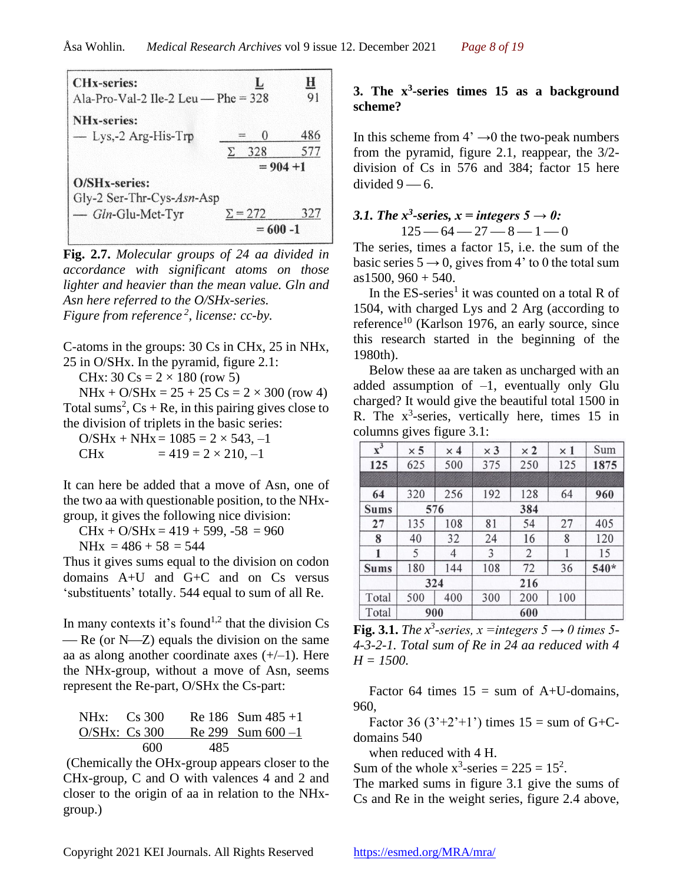| <b>CHx-series:</b><br>Ala-Pro-Val-2 Ile-2 Leu — Phe = $328$ | L                                     | $\bf{H}$<br>91 |
|-------------------------------------------------------------|---------------------------------------|----------------|
| <b>NH<sub>x</sub>-series:</b><br>$-$ Lys, -2 Arg-His-Trp    | $\theta$<br>$\frac{1}{2}$<br>328<br>Σ | 486<br>577     |
|                                                             | $= 904 + 1$                           |                |
| O/SHx-series:<br>Gly-2 Ser-Thr-Cys-Asn-Asp                  |                                       |                |
| - Gln-Glu-Met-Tyr                                           | $\Sigma = 272$<br>$= 600 - 1$         | 327            |

**Fig. 2.7.** *Molecular groups of 24 aa divided in accordance with significant atoms on those lighter and heavier than the mean value. Gln and Asn here referred to the O/SHx-series. Figure from reference <sup>2</sup> , license: cc-by.*

C-atoms in the groups: 30 Cs in CHx, 25 in NHx, 25 in O/SHx. In the pyramid, figure 2.1:

CHx: 30 Cs =  $2 \times 180$  (row 5)

 $N$ Hx + O/SHx = 25 + 25 Cs = 2 × 300 (row 4) Total sums<sup>2</sup>,  $Cs + Re$ , in this pairing gives close to the division of triplets in the basic series:

 $O/SHx + NHx = 1085 = 2 \times 543, -1$ CHx  $= 419 = 2 \times 210, -1$ 

It can here be added that a move of Asn, one of the two aa with questionable position, to the NHxgroup, it gives the following nice division:

 $CHx + O/SHx = 419 + 599, -58 = 960$ 

 $N$ Hx = 486 + 58 = 544

Thus it gives sums equal to the division on codon domains A+U and G+C and on Cs versus 'substituents' totally. 544 equal to sum of all Re.

In many contexts it's found<sup>1,2</sup> that the division  $Cs$  $-$  Re (or N $-$ Z) equals the division on the same aa as along another coordinate axes  $(+/-1)$ . Here the NHx-group, without a move of Asn, seems represent the Re-part, O/SHx the Cs-part:

| NHx: Cs 300      |     | Re 186 Sum $485+1$   |
|------------------|-----|----------------------|
| $O/SHx$ : Cs 300 |     | Re 299 Sum $600 - 1$ |
| 600              | 485 |                      |

(Chemically the OHx-group appears closer to the CHx-group, C and O with valences 4 and 2 and closer to the origin of aa in relation to the NHxgroup.)

### **3.** The  $x^3$ -series times 15 as a background **scheme?**

In this scheme from  $4^{\circ} \rightarrow 0$  the two-peak numbers from the pyramid, figure 2.1, reappear, the 3/2 division of Cs in 576 and 384; factor 15 here divided  $9 - 6$ .

### *3.1. The x<sup>3</sup>-series,*  $x =$  *integers 5*  $\rightarrow$  *0:*  $125 - 64 - 27 - 8 - 1 - 0$

The series, times a factor 15, i.e. the sum of the basic series  $5 \rightarrow 0$ , gives from 4' to 0 the total sum  $as1500, 960 + 540.$ 

In the  $ES$ -series<sup>1</sup> it was counted on a total R of 1504, with charged Lys and 2 Arg (according to reference<sup>10</sup> (Karlson 1976, an early source, since this research started in the beginning of the 1980th).

Below these aa are taken as uncharged with an added assumption of –1, eventually only Glu charged? It would give the beautiful total 1500 in R. The  $x^3$ -series, vertically here, times 15 in columns gives figure 3.1:

| $\overline{x^3}$ | $\times$ 5 | $\times 4$ | $\times 3$ | $\times 2$     | $\times 1$ | Sum    |
|------------------|------------|------------|------------|----------------|------------|--------|
| 125              | 625        | 500        | 375        | 250            | 125        | 1875   |
|                  |            |            |            |                |            |        |
| 64               | 320        | 256        | 192        | 128            | 64         | 960    |
| <b>Sums</b>      |            | 576        |            | 384            |            |        |
| 27               | 135        | 108        | 81         | 54             | 27         | 405    |
| 8                | 40         | 32         | 24         | 16             | 8          | 120    |
| 1                | 5          | 4          | 3          | $\overline{2}$ |            | 15     |
| <b>Sums</b>      | 180        | 144        | 108        | 72             | 36         | $540*$ |
|                  |            | 324        |            | 216            |            |        |
| Total            | 500        | 400        | 300        | 200            | 100        |        |
| Total            |            | 900        |            | 600            |            |        |

**Fig. 3.1.** *The x*<sup>3</sup>-series,  $x =$ *integers*  $5 \rightarrow 0$  *times* 5-*4-3-2-1. Total sum of Re in 24 aa reduced with 4*   $H = 1500$ .

Factor 64 times  $15 = \text{sum of A+U-domains}$ , 960,

Factor 36 (3'+2'+1') times  $15 = \text{sum of } G + C$ domains 540

when reduced with 4 H.

Sum of the whole  $x^3$ -series = 225 = 15<sup>2</sup>.

The marked sums in figure 3.1 give the sums of Cs and Re in the weight series, figure 2.4 above,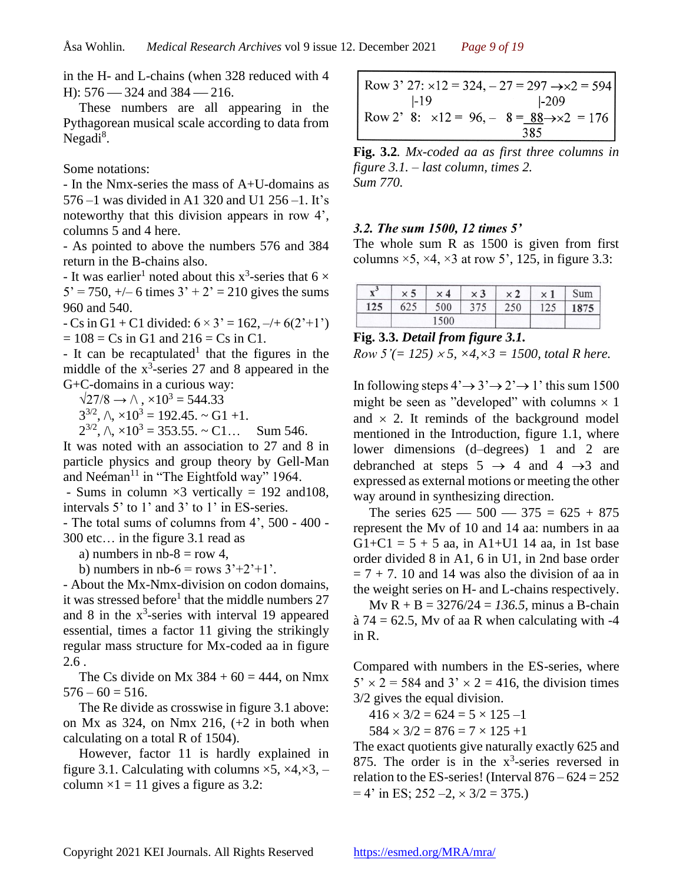in the H- and L-chains (when 328 reduced with 4 H):  $576 - 324$  and  $384 - 216$ .

These numbers are all appearing in the Pythagorean musical scale according to data from Negadi<sup>8</sup>.

Some notations:

- In the Nmx-series the mass of A+U-domains as 576 –1 was divided in A1 320 and U1 256 –1. It's noteworthy that this division appears in row 4', columns 5 and 4 here.

- As pointed to above the numbers 576 and 384 return in the B-chains also.

- It was earlier<sup>1</sup> noted about this  $x^3$ -series that  $6 \times$  $5' = 750, +/- 6$  times  $3' + 2' = 210$  gives the sums 960 and 540.

 $-Cs$  in G1 + C1 divided:  $6 \times 3' = 162, -4/6(2'+1')$  $= 108 = Cs$  in G1 and  $216 = Cs$  in C1.

- It can be recaptulated<sup>1</sup> that the figures in the middle of the  $x^3$ -series 27 and 8 appeared in the G+C-domains in a curious way:

 $\sqrt{27/8} \rightarrow \sqrt{}$ ,  $\times 10^3 = 544.33$ 

 $3^{3/2}$ ,  $\wedge$ ,  $\times 10^3 = 192.45$ .  $\sim$  G1 +1.

 $2^{3/2}$ ,  $\wedge$ ,  $\times 10^3 = 353.55$ .  $\sim$  C1... Sum 546. It was noted with an association to 27 and 8 in particle physics and group theory by Gell-Man and Neéman<sup>11</sup> in "The Eightfold way" 1964.

- Sums in column  $\times$ 3 vertically = 192 and 108, intervals 5' to 1' and 3' to 1' in ES-series.

- The total sums of columns from 4', 500 - 400 - 300 etc… in the figure 3.1 read as

a) numbers in  $nb-8 = row 4$ ,

b) numbers in nb-6 = rows  $3'+2'+1'$ .

- About the Mx-Nmx-division on codon domains, it was stressed before<sup>1</sup> that the middle numbers 27 and 8 in the  $x^3$ -series with interval 19 appeared essential, times a factor 11 giving the strikingly regular mass structure for Mx-coded aa in figure 2.6 .

The Cs divide on Mx  $384 + 60 = 444$ , on Nmx  $576 - 60 = 516.$ 

The Re divide as crosswise in figure 3.1 above: on Mx as 324, on Nmx 216,  $(+2 \text{ in both when})$ calculating on a total R of 1504).

However, factor 11 is hardly explained in figure 3.1. Calculating with columns  $\times$ 5,  $\times$ 4, $\times$ 3, – column  $\times$ 1 = 11 gives a figure as 3.2:

Row 3' 27:  $\times$ 12 = 324,  $-27$  = 297  $\rightarrow \times$ 2 = 594  $-19$  $1 - 209$ Row 2' 8:  $\times 12 = 96, -8 = 88 \rightarrow \times 2 = 176$ 385

**Fig. 3.2***. Mx-coded aa as first three columns in figure 3.1. – last column, times 2. Sum 770.*

### *3.2. The sum 1500, 12 times 5'*

The whole sum R as 1500 is given from first columns  $\times$ 5,  $\times$ 4,  $\times$ 3 at row 5', 125, in figure 3.3:

| л   | ×<br>۰, | ×<br>Δ | $\times 3$ | ×   | × | Sum |
|-----|---------|--------|------------|-----|---|-----|
| 125 | ◡∠◡     | 500    | 275        | 250 |   |     |
|     |         | 1500   |            |     |   |     |

#### **Fig. 3.3.** *Detail from figure 3.1.*

*Row 5'*(= 125)  $\times$  5,  $\times$  4,  $\times$  3 = 1500, total R here.

In following steps  $4' \rightarrow 3' \rightarrow 2' \rightarrow 1'$  this sum 1500 might be seen as "developed" with columns  $\times$  1 and  $\times$  2. It reminds of the background model mentioned in the Introduction, figure 1.1, where lower dimensions (d–degrees) 1 and 2 are debranched at steps  $5 \rightarrow 4$  and  $4 \rightarrow 3$  and expressed as external motions or meeting the other way around in synthesizing direction.

The series  $625 - 500 - 375 = 625 + 875$ represent the Mv of 10 and 14 aa: numbers in aa G1+C1 =  $5 + 5$  aa, in A1+U1 14 aa, in 1st base order divided 8 in A1, 6 in U1, in 2nd base order  $= 7 + 7$ . 10 and 14 was also the division of aa in the weight series on H- and L-chains respectively.

Mv R + B = 3276/24 = *136.5,* minus a B-chain  $\hat{a}$  74 = 62.5, My of aa R when calculating with -4 in R.

Compared with numbers in the ES-series, where  $5' \times 2 = 584$  and  $3' \times 2 = 416$ , the division times 3/2 gives the equal division.

 $416 \times 3/2 = 624 = 5 \times 125 - 1$ 

 $584 \times 3/2 = 876 = 7 \times 125 +1$ 

The exact quotients give naturally exactly 625 and 875. The order is in the  $x^3$ -series reversed in relation to the ES-series! (Interval  $876 - 624 = 252$ )  $= 4'$  in ES; 252 –2,  $\times$  3/2 = 375.)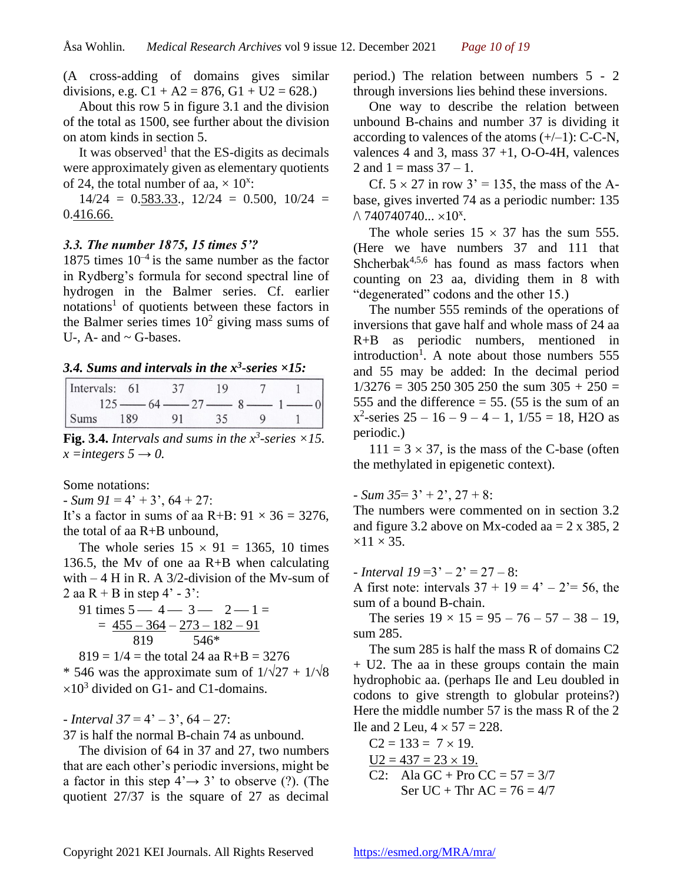(A cross-adding of domains gives similar divisions, e.g.  $C1 + A2 = 876$ ,  $G1 + U2 = 628$ .)

About this row 5 in figure 3.1 and the division of the total as 1500, see further about the division on atom kinds in section 5.

It was observed<sup>1</sup> that the ES-digits as decimals were approximately given as elementary quotients of 24, the total number of aa,  $\times$  10<sup>x</sup>:

 $14/24 = 0.583.33$ ,  $12/24 = 0.500$ ,  $10/24 =$ 0.416.66.

### *3.3. The number 1875, 15 times 5'?*

1875 times  $10^{-4}$  is the same number as the factor in Rydberg's formula for second spectral line of hydrogen in the Balmer series. Cf. earlier notations<sup>1</sup> of quotients between these factors in the Balmer series times  $10^2$  giving mass sums of U-,  $A$ - and  $\sim$  G-bases.

*3.4. Sums and intervals in the x<sup>3</sup> -series ×15:*

| Intervals: 61 |     |                 |  |  |
|---------------|-----|-----------------|--|--|
|               |     | $64 - 27 - 8 -$ |  |  |
| Sums          | 189 |                 |  |  |

**Fig. 3.4.** Intervals and sums in the  $x^3$ -series  $\times 15$ .  $x =$ *integers*  $5 \rightarrow 0$ .

Some notations:

*- Sum*  $91 = 4' + 3'$ ,  $64 + 27$ :

It's a factor in sums of aa R+B:  $91 \times 36 = 3276$ , the total of aa R+B unbound,

The whole series  $15 \times 91 = 1365$ , 10 times 136.5, the Mv of one aa R+B when calculating with – 4 H in R. A 3/2-division of the Mv-sum of 2 aa R + B in step 4' - 3':

91 times 5 — 4 — 3 — 2 — 1 =  
= 
$$
\frac{455 - 364 - 273 - 182 - 91}{819}
$$
  
= 546\*

 $819 = 1/4$  = the total 24 aa R+B = 3276

 $*$  546 was the approximate sum of  $1/\sqrt{27} + 1/\sqrt{8}$  $\times 10^3$  divided on G1- and C1-domains.

*- Interval 37* = 4' – 3', 64 – 27:

37 is half the normal B-chain 74 as unbound.

The division of 64 in 37 and 27, two numbers that are each other's periodic inversions, might be a factor in this step  $4' \rightarrow 3'$  to observe (?). (The quotient 27/37 is the square of 27 as decimal period.) The relation between numbers 5 - 2 through inversions lies behind these inversions.

One way to describe the relation between unbound B-chains and number 37 is dividing it according to valences of the atoms  $(+/-1)$ : C-C-N, valences 4 and 3, mass  $37 + 1$ , O-O-4H, valences 2 and  $1 = \text{mass } 37 - 1$ .

Cf.  $5 \times 27$  in row  $3' = 135$ , the mass of the Abase, gives inverted 74 as a periodic number: 135  $\wedge$  740740740...  $\times 10^{x}$ .

The whole series  $15 \times 37$  has the sum 555. (Here we have numbers 37 and 111 that Shcherbak $4,5,6$  has found as mass factors when counting on 23 aa, dividing them in 8 with "degenerated" codons and the other 15.)

The number 555 reminds of the operations of inversions that gave half and whole mass of 24 aa R+B as periodic numbers, mentioned in introduction<sup>1</sup>. A note about those numbers  $555$ and 55 may be added: In the decimal period  $1/3276 = 305 250 305 250$  the sum  $305 + 250 =$ 555 and the difference  $=$  55. (55 is the sum of an  $x^2$ -series 25 – 16 – 9 – 4 – 1, 1/55 = 18, H2O as periodic.)

 $111 = 3 \times 37$ , is the mass of the C-base (often the methylated in epigenetic context).

- *Sum 35*= 3' + 2', 27 + 8:

The numbers were commented on in section 3.2 and figure 3.2 above on Mx-coded aa  $= 2 \times 385$ , 2  $\times$ 11  $\times$  35.

*- Interval 19* =3' – 2' = 27 – 8:

A first note: intervals  $37 + 19 = 4' - 2' = 56$ , the sum of a bound B-chain.

The series  $19 \times 15 = 95 - 76 - 57 - 38 - 19$ , sum 285.

The sum 285 is half the mass R of domains C2 + U2. The aa in these groups contain the main hydrophobic aa. (perhaps Ile and Leu doubled in codons to give strength to globular proteins?) Here the middle number 57 is the mass R of the 2 Ile and 2 Leu,  $4 \times 57 = 228$ .

C2 = 133 = 7 19. U2 = 437 = 23 19. C2: Ala GC + Pro CC = 57 = 3/7 Ser UC + Thr AC = 76 = 4/7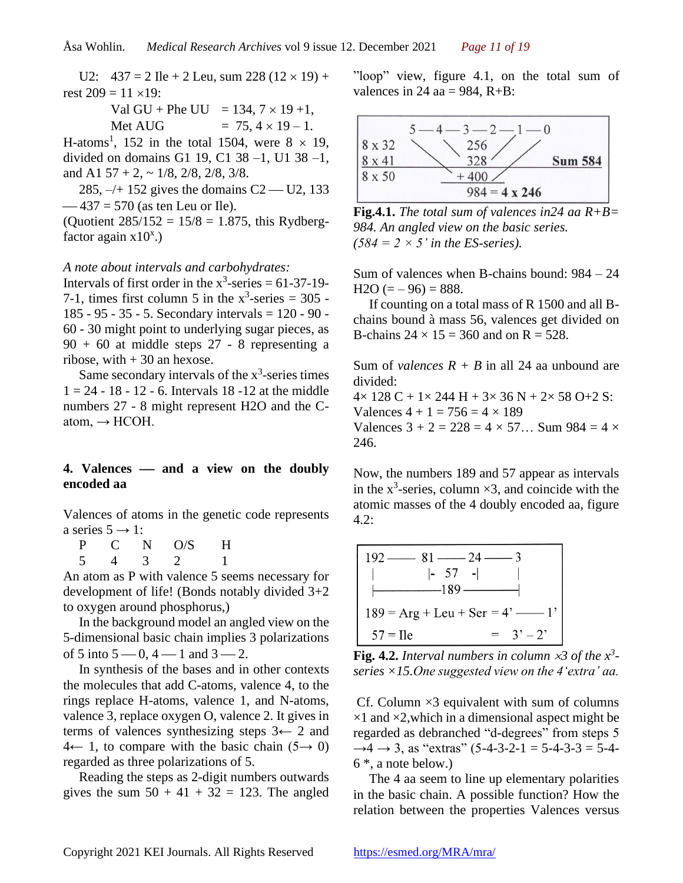U2:  $437 = 2$  Ile + 2 Leu, sum 228 (12  $\times$  19) + rest  $209 = 11 \times 19$ :

> Val GU + Phe UU = 134,  $7 \times 19 + 1$ , Met AUG  $= 75.4 \times 19 - 1$ .

H-atoms<sup>1</sup>, 152 in the total 1504, were  $8 \times 19$ , divided on domains G1 19, C1 38 –1, U1 38 –1, and A1  $57 + 2$ ,  $\sim 1/8$ ,  $2/8$ ,  $2/8$ ,  $3/8$ .

285,  $-/- 152$  gives the domains C2 — U2, 133  $-437 = 570$  (as ten Leu or Ile).

(Quotient  $285/152 = 15/8 = 1.875$ , this Rydbergfactor again  $x10<sup>x</sup>$ .)

#### *A note about intervals and carbohydrates:*

Intervals of first order in the  $x^3$ -series = 61-37-19-7-1, times first column 5 in the  $x^3$ -series = 305 -185 - 95 - 35 - 5. Secondary intervals = 120 - 90 - 60 - 30 might point to underlying sugar pieces, as  $90 + 60$  at middle steps  $27 - 8$  representing a ribose, with  $+30$  an hexose.

Same secondary intervals of the  $x^3$ -series times  $1 = 24 - 18 - 12 - 6$ . Intervals 18 -12 at the middle numbers 27 - 8 might represent H2O and the Catom,  $\rightarrow$  HCOH.

#### **4. Valences** ⎯ **and a view on the doubly encoded aa**

Valences of atoms in the genetic code represents a series  $5 \rightarrow 1$ :

P C N O/S H 5 4 3 2 1

An atom as P with valence 5 seems necessary for development of life! (Bonds notably divided 3+2 to oxygen around phosphorus,)

In the background model an angled view on the 5-dimensional basic chain implies 3 polarizations of 5 into  $5 - 0$ ,  $4 - 1$  and  $3 - 2$ .

In synthesis of the bases and in other contexts the molecules that add C-atoms, valence 4, to the rings replace H-atoms, valence 1, and N-atoms, valence 3, replace oxygen O, valence 2. It gives in terms of valences synthesizing steps  $3 \leftarrow 2$  and  $4 \leftarrow 1$ , to compare with the basic chain  $(5 \rightarrow 0)$ regarded as three polarizations of 5.

Reading the steps as 2-digit numbers outwards gives the sum  $50 + 41 + 32 = 123$ . The angled "loop" view, figure 4.1, on the total sum of valences in 24 aa = 984,  $R+B$ :



**Fig.4.1.** *The total sum of valences in24 aa R+B= 984. An angled view on the basic series.*  $(584 = 2 \times 5)$  *in the ES-series*).

Sum of valences when B-chains bound: 984 – 24 H2O  $(=-96) = 888$ .

If counting on a total mass of R 1500 and all Bchains bound à mass 56, valences get divided on B-chains  $24 \times 15 = 360$  and on R = 528.

Sum of *valences*  $R + B$  in all 24 aa unbound are divided:

 $4 \times 128 \text{ C} + 1 \times 244 \text{ H} + 3 \times 36 \text{ N} + 2 \times 58 \text{ O} + 2 \text{ S}$ : Valences  $4 + 1 = 756 = 4 \times 189$ Valences  $3 + 2 = 228 = 4 \times 57...$  Sum  $984 = 4 \times$ 246.

Now, the numbers 189 and 57 appear as intervals in the  $x^3$ -series, column  $\times 3$ , and coincide with the atomic masses of the 4 doubly encoded aa, figure 4.2:



**Fig. 4.2.** *Interval numbers in column 3 of the x<sup>3</sup> series ×15.One suggested view on the 4'extra' aa.*

Cf. Column  $\times$ 3 equivalent with sum of columns  $\times$ 1 and  $\times$ 2, which in a dimensional aspect might be regarded as debranched "d-degrees" from steps 5  $\rightarrow$ 4  $\rightarrow$  3, as "extras" (5-4-3-2-1 = 5-4-3-3 = 5-4-6 \*, a note below.)

The 4 aa seem to line up elementary polarities in the basic chain. A possible function? How the relation between the properties Valences versus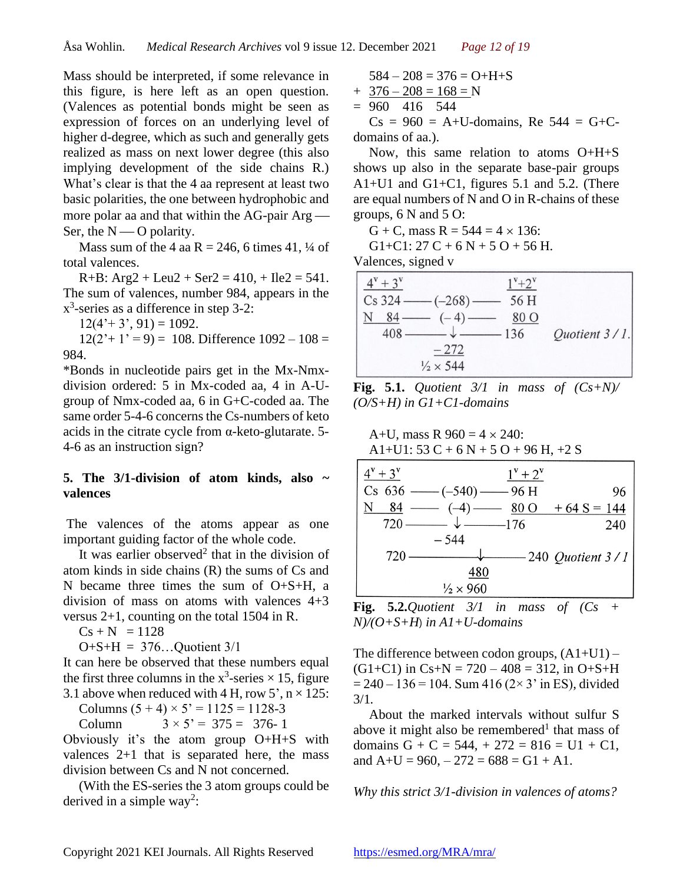Mass should be interpreted, if some relevance in this figure, is here left as an open question. (Valences as potential bonds might be seen as expression of forces on an underlying level of higher d-degree, which as such and generally gets realized as mass on next lower degree (this also implying development of the side chains R.) What's clear is that the 4 aa represent at least two basic polarities, the one between hydrophobic and more polar aa and that within the AG-pair  $Arg$  — Ser, the  $N \sim O$  polarity.

Mass sum of the 4 aa R = 246, 6 times 41,  $\frac{1}{4}$  of total valences.

 $R+B$ :  $Arg2 + Leu2 + Ser2 = 410$ ,  $+ Ile2 = 541$ . The sum of valences, number 984, appears in the  $x^3$ -series as a difference in step 3-2:

 $12(4'+3', 91) = 1092.$ 

 $12(2'+1'=9) = 108$ . Difference  $1092 - 108 =$ 984.

\*Bonds in nucleotide pairs get in the Mx-Nmxdivision ordered: 5 in Mx-coded aa, 4 in A-Ugroup of Nmx-coded aa, 6 in G+C-coded aa. The same order 5-4-6 concerns the Cs-numbers of keto acids in the citrate cycle from  $\alpha$ -keto-glutarate. 5-4-6 as an instruction sign?

### **5. The 3/1-division of atom kinds, also ~ valences**

The valences of the atoms appear as one important guiding factor of the whole code.

It was earlier observed<sup>2</sup> that in the division of atom kinds in side chains (R) the sums of Cs and N became three times the sum of  $O+S+H$ , a division of mass on atoms with valences 4+3 versus 2+1, counting on the total 1504 in R.

 $Cs + N = 1128$ 

$$
O+S+H = 376...Quotient 3/1
$$

It can here be observed that these numbers equal the first three columns in the  $x^3$ -series  $\times$  15, figure 3.1 above when reduced with 4 H, row  $5'$ ,  $n \times 125$ :

Columns  $(5 + 4) \times 5' = 1125 = 1128-3$ 

Column  $3 \times 5' = 375 = 376 - 1$ 

Obviously it's the atom group O+H+S with valences  $2+1$  that is separated here, the mass division between Cs and N not concerned.

(With the ES-series the 3 atom groups could be derived in a simple way<sup>2</sup>:

$$
584 - 208 = 376 = O + H + S
$$
  
+ 376 - 208 = 168 = N

 $= 960$  416 544

 $Cs = 960 = A+U$ -domains, Re 544 = G+Cdomains of aa.).

Now, this same relation to atoms O+H+S shows up also in the separate base-pair groups A1+U1 and G1+C1, figures 5.1 and 5.2. (There are equal numbers of N and O in R-chains of these groups, 6 N and 5 O:

G + C, mass R =  $544 = 4 \times 136$ :

G1+C1: 27 C + 6 N + 5 O + 56 H.

Valences, signed v

| $4^{v} + 3^{v}$ |                                       | $1^{v}+2^{v}$ |               |
|-----------------|---------------------------------------|---------------|---------------|
|                 | $\cos 324 \longrightarrow (-268)$     | $-56H$        |               |
|                 | $N \quad 84 \quad (-4) \quad - \quad$ | 80 O          |               |
| $408$ —         |                                       | $-\sqrt{136}$ | Quotient 3/1. |
|                 | $-272$                                |               |               |
|                 | $\frac{1}{2} \times 544$              |               |               |

**Fig. 5.1.** *Quotient*  $3/1$  *in mass of*  $(Cs+N)/$ *(O/S+H) in G1+C1-domains*

| A+U, mass R $960 = 4 \times 240$ :<br>A1+U1: $53 C + 6 N + 5 O + 96 H$ , +2 S |                                                    |  |  |  |
|-------------------------------------------------------------------------------|----------------------------------------------------|--|--|--|
| $4^{v} + 3^{v}$                                                               | $1^{\rm v}$ + $2^{\rm v}$                          |  |  |  |
| $Cs$ 636 —— $(-540)$ —— 96 H                                                  | 96                                                 |  |  |  |
| 84                                                                            | $\rightarrow$ (-4) $\rightarrow$ 80 O + 64 S = 144 |  |  |  |
| $ \sqrt{$ — $-$ 176<br>720                                                    | 240                                                |  |  |  |
| $-544$                                                                        |                                                    |  |  |  |
| 720                                                                           | $-240$ Quotient 3 / 1                              |  |  |  |
| 480                                                                           |                                                    |  |  |  |
| $\frac{1}{2} \times 960$                                                      |                                                    |  |  |  |

**Fig. 5.2.***Quotient 3/1 in mass of (Cs + N)/(O+S+H*) *in A1+U-domains*

The difference between codon groups,  $(A1+U1)$  –  $(G1+C1)$  in  $Cs+N = 720 - 408 = 312$ , in  $O+S+H$  $= 240 - 136 = 104$ . Sum 416 (2× 3' in ES), divided 3/1*.*

About the marked intervals without sulfur S above it might also be remembered<sup>1</sup> that mass of domains  $G + C = 544, +272 = 816 = U1 + C1$ , and  $A+U = 960, -272 = 688 = G1 + A1$ .

*Why this strict 3/1-division in valences of atoms?*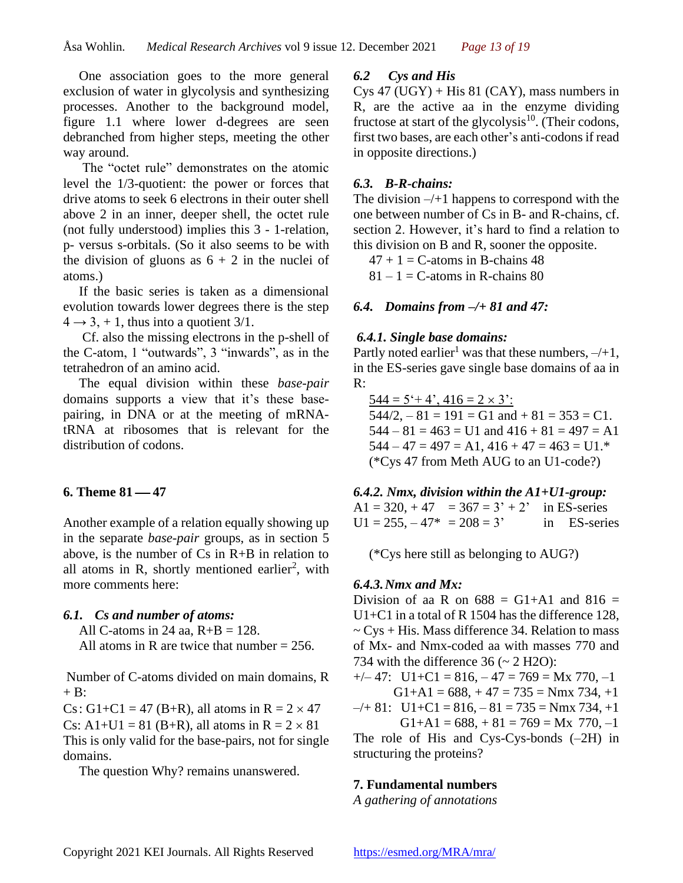One association goes to the more general exclusion of water in glycolysis and synthesizing processes. Another to the background model, figure 1.1 where lower d-degrees are seen debranched from higher steps, meeting the other way around.

The "octet rule" demonstrates on the atomic level the 1/3-quotient: the power or forces that drive atoms to seek 6 electrons in their outer shell above 2 in an inner, deeper shell, the octet rule (not fully understood) implies this 3 - 1-relation, p- versus s-orbitals. (So it also seems to be with the division of gluons as  $6 + 2$  in the nuclei of atoms.)

If the basic series is taken as a dimensional evolution towards lower degrees there is the step  $4 \rightarrow 3, +1$ , thus into a quotient 3/1.

Cf. also the missing electrons in the p-shell of the C-atom, 1 "outwards", 3 "inwards", as in the tetrahedron of an amino acid.

The equal division within these *base-pair* domains supports a view that it's these basepairing, in DNA or at the meeting of mRNAtRNA at ribosomes that is relevant for the distribution of codons.

### **6. Theme 81 — 47**

Another example of a relation equally showing up in the separate *base-pair* groups, as in section 5 above, is the number of Cs in R+B in relation to all atoms in R, shortly mentioned earlier<sup>2</sup>, with more comments here:

## *6.1. Cs and number of atoms:*

All C-atoms in 24 aa,  $R+B = 128$ .

All atoms in R are twice that number  $= 256$ .

Number of C-atoms divided on main domains, R  $+ B$ :

Cs: G1+C1 = 47 (B+R), all atoms in R =  $2 \times 47$ Cs: A1+U1 = 81 (B+R), all atoms in  $R = 2 \times 81$ This is only valid for the base-pairs, not for single domains.

The question Why? remains unanswered.

### *6.2 Cys and His*

 $Cys 47 (UGY) + His 81 (CAY)$ , mass numbers in R, are the active aa in the enzyme dividing fructose at start of the glycolysis<sup>10</sup>. (Their codons, first two bases, are each other's anti-codonsif read in opposite directions.)

### *6.3. B-R-chains:*

The division  $-\ell+1$  happens to correspond with the one between number of Cs in B- and R-chains, cf. section 2. However, it's hard to find a relation to this division on B and R, sooner the opposite.

 $47 + 1 =$  C-atoms in B-chains 48

 $81 - 1 = C$ -atoms in R-chains 80

### *6.4. Domains from –/+ 81 and 47:*

#### *6.4.1. Single base domains:*

Partly noted earlier<sup>1</sup> was that these numbers,  $-\frac{1}{1}$ , in the ES-series gave single base domains of aa in R:

 $544 = 5 + 4$ ,  $416 = 2 \times 3$ :  $544/2, -81 = 191 = G1$  and  $+81 = 353 = C1$ .  $544 - 81 = 463 = U1$  and  $416 + 81 = 497 = A1$  $544 - 47 = 497 = A1$ ,  $416 + 47 = 463 = U1.*$ (\*Cys 47 from Meth AUG to an U1-code?)

#### *6.4.2. Nmx, division within the A1+U1-group:*

A1 = 320, + 47 = 367 =  $3' + 2'$  in ES-series  $U1 = 255, -47^* = 208 = 3'$  in ES-series

(\*Cys here still as belonging to AUG?)

### *6.4.3.Nmx and Mx:*

Division of aa R on  $688 = G1+A1$  and  $816 =$ U1+C1 in a total of R 1504 has the difference 128,  $\sim$  Cys + His. Mass difference 34. Relation to mass of Mx- and Nmx-coded aa with masses 770 and 734 with the difference  $36 \div 2$  H2O):

 $+/- 47$ :  $U1+C1 = 816, -47 = 769 = Mx 770, -1$  $G1+A1 = 688, +47 = 735 = Nmx 734, +1$ 

 $-$ /+ 81: U1+C1 = 816, - 81 = 735 = Nmx 734, +1

 $G1+A1 = 688, +81 = 769 = Mx 770, -1$ 

The role of His and Cys-Cys-bonds (–2H) in structuring the proteins?

### **7. Fundamental numbers**

*A gathering of annotations*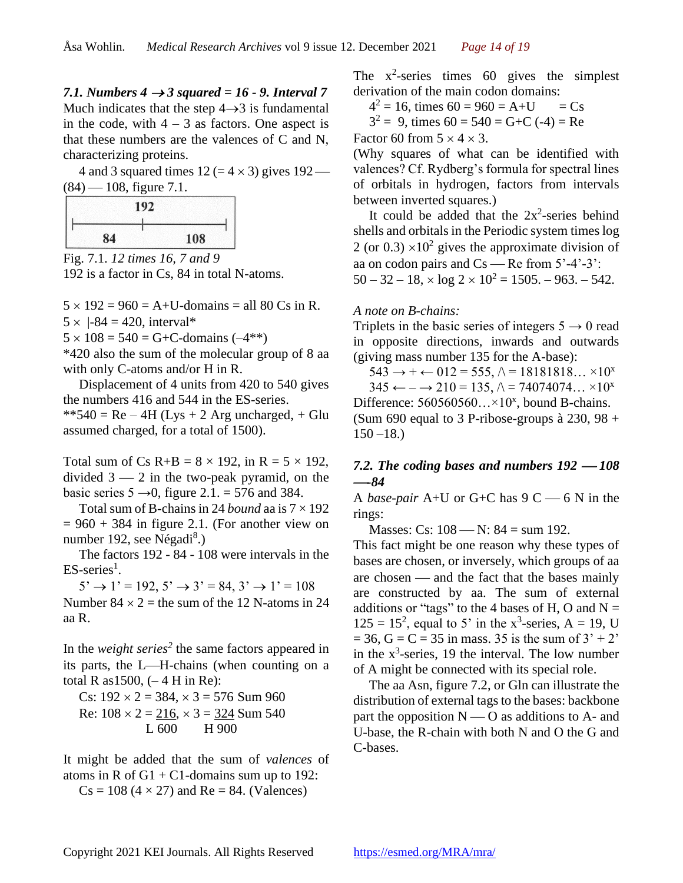*7.1. Numbers 4 → 3 squared = 16 - 9. Interval 7* Much indicates that the step  $4\rightarrow 3$  is fundamental in the code, with  $4 - 3$  as factors. One aspect is that these numbers are the valences of C and N, characterizing proteins.

4 and 3 squared times  $12 (= 4 \times 3)$  gives  $192$ —  $(84) - 108$ , figure 7.1.

| 192 |     |
|-----|-----|
| 84  | 108 |

Fig. 7.1. *12 times 16, 7 and 9* 192 is a factor in Cs, 84 in total N-atoms.

 $5 \times 192 = 960 = A+U$ -domains = all 80 Cs in R.  $5 \times |-84 = 420$ , interval\*

 $5 \times 108 = 540 = G + C$ -domains  $(-4^{**})$ 

\*420 also the sum of the molecular group of 8 aa with only C-atoms and/or H in R.

Displacement of 4 units from 420 to 540 gives the numbers 416 and 544 in the ES-series.  $**540 = Re - 4H (Lys + 2 Arg unchanged, + Glu)$ assumed charged, for a total of 1500).

Total sum of Cs R+B =  $8 \times 192$ , in R =  $5 \times 192$ , divided  $3 - 2$  in the two-peak pyramid, on the basic series  $5 \rightarrow 0$ , figure 2.1. = 576 and 384.

Total sum of B-chains in 24 *bound* aa is  $7 \times 192$  $= 960 + 384$  in figure 2.1. (For another view on number 192, see Négadi<sup>8</sup>.)

The factors 192 - 84 - 108 were intervals in the  $ES$ -series<sup>1</sup>.

 $5' \rightarrow 1' = 192, 5' \rightarrow 3' = 84, 3' \rightarrow 1' = 108$ 

Number  $84 \times 2$  = the sum of the 12 N-atoms in 24 aa R.

In the *weight series<sup>2</sup>* the same factors appeared in its parts, the L—H-chains (when counting on a total R as  $1500$ ,  $(-4$  H in Re):

Cs: 
$$
192 \times 2 = 384, \times 3 = 576
$$
 Sum 960

\nRe:  $108 \times 2 = 216, \times 3 = 324$  Sum 540

\nL 600 H 900

It might be added that the sum of *valences* of atoms in R of  $G1 + C1$ -domains sum up to 192:

 $Cs = 108 (4 \times 27)$  and  $Re = 84$ . (Valences)

The  $x^2$ -series times 60 gives the simplest derivation of the main codon domains:

 $4^2 = 16$ , times  $60 = 960 = A+U = Cs$ 

 $3^2 = 9$ , times  $60 = 540 = G + C (-4) = Re$ 

Factor 60 from  $5 \times 4 \times 3$ .

(Why squares of what can be identified with valences? Cf. Rydberg's formula for spectral lines of orbitals in hydrogen, factors from intervals between inverted squares.)

It could be added that the  $2x^2$ -series behind shells and orbitals in the Periodic system times log 2 (or 0.3)  $\times$ 10<sup>2</sup> gives the approximate division of aa on codon pairs and  $Cs$  — Re from  $5'$ -4'-3':  $50 - 32 - 18$ ,  $\times \log 2 \times 10^2 = 1505$ . – 963. – 542.

### *A note on B-chains:*

Triplets in the basic series of integers  $5 \rightarrow 0$  read in opposite directions, inwards and outwards (giving mass number 135 for the A-base):

 $543 \rightarrow + \leftarrow 012 = 555, \land = 18181818... \times 10^{x}$ 

 $345 \leftarrow -\rightarrow 210 = 135, \land = 74074074... \times 10^{x}$ Difference:  $560560560... \times 10^{x}$ , bound B-chains. (Sum 690 equal to 3 P-ribose-groups à 230, 98 +

 $150 - 18.$ 

## 7.2. The coding bases and numbers  $192 - 108$  $-84$

A *base-pair* A+U or G+C has  $9 \text{ C}$   $- 6 \text{ N}$  in the rings:

Masses: Cs:  $108 - N$ :  $84 = sum 192$ .

This fact might be one reason why these types of bases are chosen, or inversely, which groups of aa are chosen — and the fact that the bases mainly are constructed by aa. The sum of external additions or "tags" to the 4 bases of H, O and  $N =$  $125 = 15^2$ , equal to 5' in the x<sup>3</sup>-series, A = 19, U  $= 36$ , G = C = 35 in mass. 35 is the sum of 3' + 2' in the  $x^3$ -series, 19 the interval. The low number of A might be connected with its special role.

The aa Asn, figure 7.2, or Gln can illustrate the distribution of external tags to the bases: backbone part the opposition  $N \sim O$  as additions to A- and U-base, the R-chain with both N and O the G and C-bases.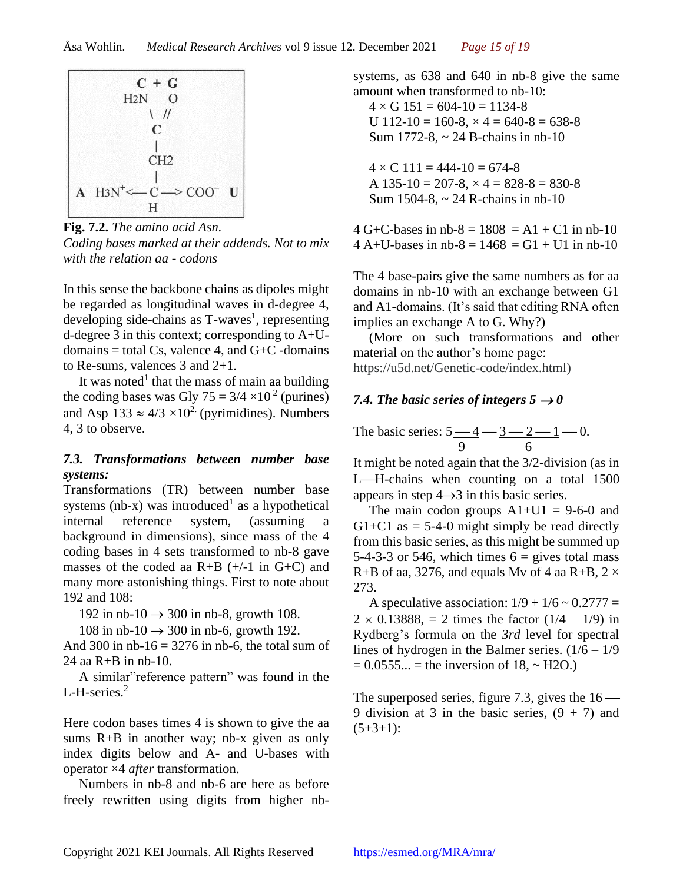

**Fig. 7.2.** *The amino acid Asn. Coding bases marked at their addends. Not to mix with the relation aa - codons*

In this sense the backbone chains as dipoles might be regarded as longitudinal waves in d-degree 4, developing side-chains as T-waves<sup>1</sup>, representing d-degree 3 in this context; corresponding to A+Udomains  $=$  total Cs, valence 4, and G+C -domains to Re-sums, valences 3 and 2+1.

It was noted<sup>1</sup> that the mass of main aa building the coding bases was Gly  $75 = 3/4 \times 10^2$  (purines) and Asp  $133 \approx 4/3 \times 10^{2}$  (pyrimidines). Numbers 4, 3 to observe.

## *7.3. Transformations between number base systems:*

Transformations (TR) between number base systems (nb-x) was introduced<sup>1</sup> as a hypothetical internal reference system, (assuming a background in dimensions), since mass of the 4 coding bases in 4 sets transformed to nb-8 gave masses of the coded aa  $R+B$  (+/-1 in G+C) and many more astonishing things. First to note about 192 and 108:

192 in nb-10  $\rightarrow$  300 in nb-8, growth 108.

108 in nb-10  $\rightarrow$  300 in nb-6, growth 192.

And 300 in  $nb-16 = 3276$  in  $nb-6$ , the total sum of 24 aa R+B in nb-10.

A similar"reference pattern" was found in the L-H-series.<sup>2</sup>

Here codon bases times 4 is shown to give the aa sums R+B in another way; nb-x given as only index digits below and A- and U-bases with operator ×4 *after* transformation.

Numbers in nb-8 and nb-6 are here as before freely rewritten using digits from higher nbsystems, as 638 and 640 in nb-8 give the same amount when transformed to nb-10:

 $4 \times G$  151 = 604-10 = 1134-8 U  $112-10 = 160-8$ ,  $\times$  4 = 640-8 = 638-8 Sum 1772-8, ~ 24 B-chains in nb-10

 $4 \times C$  111 = 444-10 = 674-8 A  $135-10 = 207-8$ ,  $\times$  4 = 828-8 = 830-8 Sum 1504-8, ~ 24 R-chains in nb-10

4 G+C-bases in nb-8 =  $1808 = A1 + C1$  in nb-10 4 A+U-bases in nb-8 =  $1468 = G1 + U1$  in nb-10

The 4 base-pairs give the same numbers as for aa domains in nb-10 with an exchange between G1 and A1-domains. (It's said that editing RNA often implies an exchange A to G. Why?)

(More on such transformations and other material on the author's home page: https://u5d.net/Genetic-code/index.html)

## 7.4. The basic series of integers  $5 \rightarrow 0$

The basic series:  $5 - 4 - 3 - 2 - 1 - 0$ . 9 6

It might be noted again that the 3/2-division (as in L—H-chains when counting on a total 1500 appears in step  $4 \rightarrow 3$  in this basic series.

The main codon groups  $A1+U1 = 9-6-0$  and G1+C1 as  $=$  5-4-0 might simply be read directly from this basic series, as this might be summed up 5-4-3-3 or 546, which times  $6 =$  gives total mass R+B of aa, 3276, and equals Mv of 4 aa R+B,  $2 \times$ 273.

A speculative association:  $1/9 + 1/6 \approx 0.2777 =$  $2 \times 0.13888$ , = 2 times the factor  $(1/4 - 1/9)$  in Rydberg's formula on the *3rd* level for spectral lines of hydrogen in the Balmer series.  $(1/6 - 1/9)$  $= 0.0555... =$  the inversion of 18, ~ H2O.)

The superposed series, figure 7.3, gives the  $16$  — 9 division at 3 in the basic series,  $(9 + 7)$  and  $(5+3+1)$ :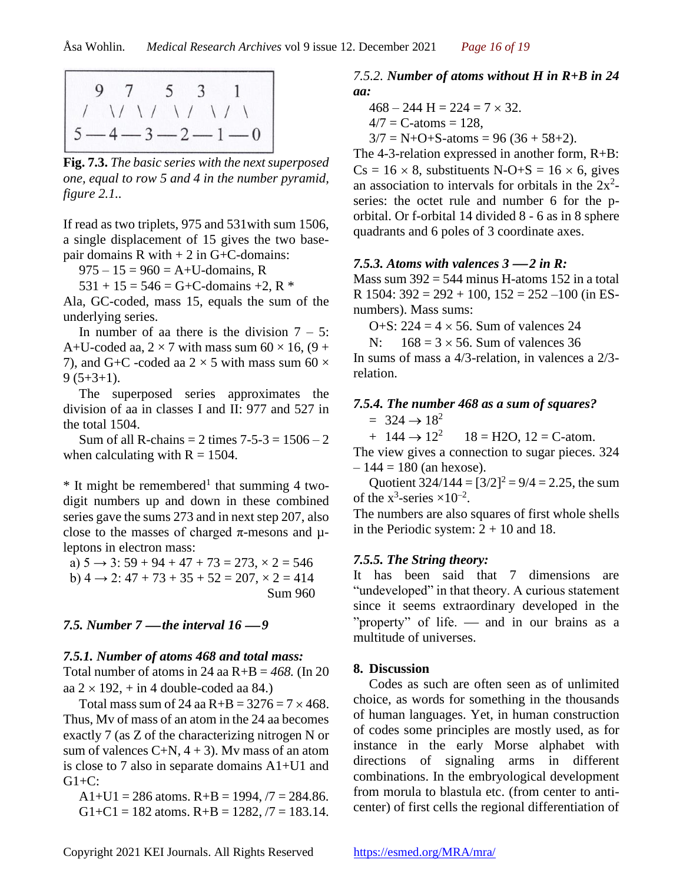**Fig. 7.3.** *The basic series with the next superposed one, equal to row 5 and 4 in the number pyramid, figure 2.1..*

If read as two triplets, 975 and 531with sum 1506, a single displacement of 15 gives the two basepair domains  $R$  with  $+ 2$  in  $G + C$ -domains:

 $975 - 15 = 960 = A + U$ -domains, R

 $531 + 15 = 546 = G + C$ -domains +2, R \*

Ala, GC-coded, mass 15, equals the sum of the underlying series.

In number of aa there is the division  $7 - 5$ : A+U-coded aa,  $2 \times 7$  with mass sum 60  $\times$  16, (9 + 7), and G+C -coded aa  $2 \times 5$  with mass sum 60  $\times$  $9(5+3+1)$ .

The superposed series approximates the division of aa in classes I and II: 977 and 527 in the total 1504.

Sum of all R-chains  $= 2$  times  $7-5-3 = 1506 - 2$ when calculating with  $R = 1504$ .

 $*$  It might be remembered<sup>1</sup> that summing 4 twodigit numbers up and down in these combined series gave the sums 273 and in next step 207, also close to the masses of charged  $\pi$ -mesons and  $\mu$ leptons in electron mass:

a)  $5 \rightarrow 3: 59 + 94 + 47 + 73 = 273, \times 2 = 546$ b)  $4 \rightarrow 2$ :  $47 + 73 + 35 + 52 = 207$ ,  $\times 2 = 414$ Sum 960

#### *7.5. Number 7* — *the interval 16* — 9

#### *7.5.1. Number of atoms 468 and total mass:*

Total number of atoms in 24 aa  $R+B = 468$ . (In 20) aa  $2 \times 192$ ,  $+$  in 4 double-coded aa 84.)

Total mass sum of 24 aa  $R+B = 3276 = 7 \times 468$ . Thus, Mv of mass of an atom in the 24 aa becomes exactly 7 (as Z of the characterizing nitrogen N or sum of valences  $C+N$ ,  $4+3$ ). My mass of an atom is close to 7 also in separate domains A1+U1 and  $G1+C$ :

 $A1+U1 = 286$  atoms.  $R+B = 1994, 77 = 284.86$ . G1+C1 = 182 atoms.  $R+B = 1282, 77 = 183.14$ .

#### *7.5.2. Number of atoms without H in R+B in 24 aa:*

$$
468 - 244 \text{ H} = 224 = 7 \times 32.
$$

$$
4/7 = C\text{-atoms} = 128,
$$

 $3/7 = N + O + S$ -atoms = 96 (36 + 58+2).

The 4-3-relation expressed in another form, R+B:  $Cs = 16 \times 8$ , substituents N-O+S = 16  $\times$  6, gives an association to intervals for orbitals in the  $2x^2$ series: the octet rule and number 6 for the porbital. Or f-orbital 14 divided 8 - 6 as in 8 sphere quadrants and 6 poles of 3 coordinate axes.

#### *7.5.3. Atoms with valences*  $3 - 2$  *in*  $\mathbb{R}$ *:*

Mass sum  $392 = 544$  minus H-atoms 152 in a total R 1504:  $392 = 292 + 100$ ,  $152 = 252 - 100$  (in ESnumbers). Mass sums:

O+S:  $224 = 4 \times 56$ . Sum of valences 24

N:  $168 = 3 \times 56$ . Sum of valences 36

In sums of mass a 4/3-relation, in valences a 2/3 relation.

### *7.5.4. The number 468 as a sum of squares?*

 $= 324 \rightarrow 18^2$ 

 $+ 144 \rightarrow 12^2$  $18 = H2O$ ,  $12 = C$ -atom.

The view gives a connection to sugar pieces. 324  $-144 = 180$  (an hexose).

Quotient  $324/144 = [3/2]^2 = 9/4 = 2.25$ , the sum of the  $x^3$ -series  $\times 10^{-2}$ .

The numbers are also squares of first whole shells in the Periodic system:  $2 + 10$  and 18.

### *7.5.5. The String theory:*

It has been said that 7 dimensions are "undeveloped" in that theory. A curious statement since it seems extraordinary developed in the "property" of life. — and in our brains as a multitude of universes.

#### **8. Discussion**

Codes as such are often seen as of unlimited choice, as words for something in the thousands of human languages. Yet, in human construction of codes some principles are mostly used, as for instance in the early Morse alphabet with directions of signaling arms in different combinations. In the embryological development from morula to blastula etc. (from center to anticenter) of first cells the regional differentiation of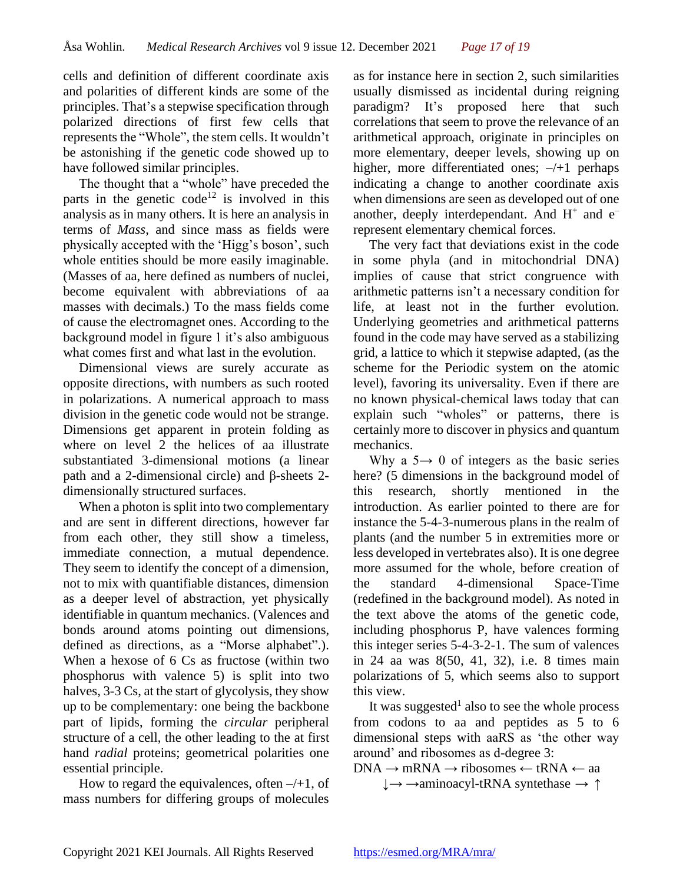cells and definition of different coordinate axis and polarities of different kinds are some of the principles. That's a stepwise specification through polarized directions of first few cells that represents the "Whole", the stem cells. It wouldn't be astonishing if the genetic code showed up to have followed similar principles.

The thought that a "whole" have preceded the parts in the genetic code<sup>12</sup> is involved in this analysis as in many others. It is here an analysis in terms of *Mass*, and since mass as fields were physically accepted with the 'Higg's boson', such whole entities should be more easily imaginable. (Masses of aa, here defined as numbers of nuclei, become equivalent with abbreviations of aa masses with decimals.) To the mass fields come of cause the electromagnet ones. According to the background model in figure 1 it's also ambiguous what comes first and what last in the evolution.

Dimensional views are surely accurate as opposite directions, with numbers as such rooted in polarizations. A numerical approach to mass division in the genetic code would not be strange. Dimensions get apparent in protein folding as where on level 2 the helices of aa illustrate substantiated 3-dimensional motions (a linear path and a 2-dimensional circle) and β-sheets 2 dimensionally structured surfaces.

When a photon is split into two complementary and are sent in different directions, however far from each other, they still show a timeless, immediate connection, a mutual dependence. They seem to identify the concept of a dimension, not to mix with quantifiable distances, dimension as a deeper level of abstraction, yet physically identifiable in quantum mechanics. (Valences and bonds around atoms pointing out dimensions, defined as directions, as a "Morse alphabet".). When a hexose of 6 Cs as fructose (within two phosphorus with valence 5) is split into two halves, 3-3 Cs, at the start of glycolysis, they show up to be complementary: one being the backbone part of lipids, forming the *circular* peripheral structure of a cell, the other leading to the at first hand *radial* proteins; geometrical polarities one essential principle.

How to regard the equivalences, often  $-/-1$ , of mass numbers for differing groups of molecules

as for instance here in section 2, such similarities usually dismissed as incidental during reigning paradigm? It's proposed here that such correlations that seem to prove the relevance of an arithmetical approach, originate in principles on more elementary, deeper levels, showing up on higher, more differentiated ones;  $-\frac{1}{1}$  perhaps indicating a change to another coordinate axis when dimensions are seen as developed out of one another, deeply interdependant. And  $H^+$  and  $e^$ represent elementary chemical forces.

The very fact that deviations exist in the code in some phyla (and in mitochondrial DNA) implies of cause that strict congruence with arithmetic patterns isn't a necessary condition for life, at least not in the further evolution. Underlying geometries and arithmetical patterns found in the code may have served as a stabilizing grid, a lattice to which it stepwise adapted, (as the scheme for the Periodic system on the atomic level), favoring its universality. Even if there are no known physical-chemical laws today that can explain such "wholes" or patterns, there is certainly more to discover in physics and quantum mechanics.

Why a  $5 \rightarrow 0$  of integers as the basic series here? (5 dimensions in the background model of this research, shortly mentioned in the introduction. As earlier pointed to there are for instance the 5-4-3-numerous plans in the realm of plants (and the number 5 in extremities more or less developed in vertebrates also). It is one degree more assumed for the whole, before creation of the standard 4-dimensional Space-Time (redefined in the background model). As noted in the text above the atoms of the genetic code, including phosphorus P, have valences forming this integer series 5-4-3-2-1. The sum of valences in 24 aa was 8(50, 41, 32), i.e. 8 times main polarizations of 5, which seems also to support this view.

It was suggested<sup>1</sup> also to see the whole process from codons to aa and peptides as 5 to 6 dimensional steps with aaRS as 'the other way around' and ribosomes as d-degree 3:

 $DNA \rightarrow mRNA \rightarrow ribosomes \leftarrow tRNA \leftarrow aa$ 

 $\downarrow \rightarrow \rightarrow$ aminoacyl-tRNA syntethase  $\rightarrow \uparrow$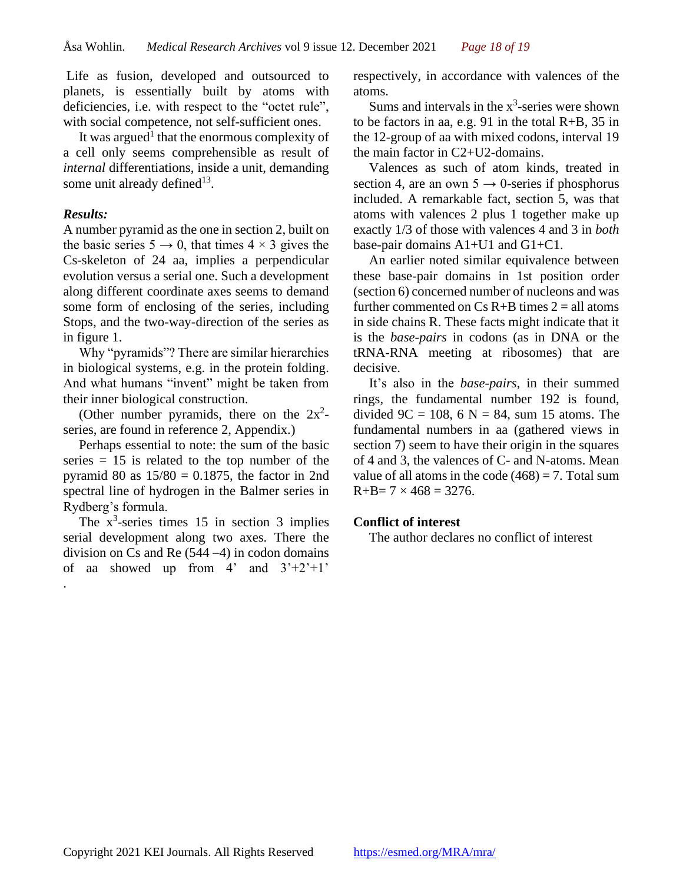Life as fusion, developed and outsourced to planets, is essentially built by atoms with deficiencies, i.e. with respect to the "octet rule", with social competence, not self-sufficient ones.

It was argued<sup>1</sup> that the enormous complexity of a cell only seems comprehensible as result of *internal* differentiations, inside a unit, demanding some unit already defined $13$ .

### *Results:*

A number pyramid as the one in section 2, built on the basic series  $5 \rightarrow 0$ , that times  $4 \times 3$  gives the Cs-skeleton of 24 aa, implies a perpendicular evolution versus a serial one. Such a development along different coordinate axes seems to demand some form of enclosing of the series, including Stops, and the two-way-direction of the series as in figure 1.

Why "pyramids"? There are similar hierarchies in biological systems, e.g. in the protein folding. And what humans "invent" might be taken from their inner biological construction.

(Other number pyramids, there on the  $2x^2$ series, are found in reference 2, Appendix.)

Perhaps essential to note: the sum of the basic series  $= 15$  is related to the top number of the pyramid 80 as  $15/80 = 0.1875$ , the factor in 2nd spectral line of hydrogen in the Balmer series in Rydberg's formula.

The  $x^3$ -series times 15 in section 3 implies serial development along two axes. There the division on Cs and Re (544 –4) in codon domains of aa showed up from  $4'$  and  $3'+2'+1'$ .

respectively, in accordance with valences of the atoms.

Sums and intervals in the  $x^3$ -series were shown to be factors in aa, e.g. 91 in the total R+B, 35 in the 12-group of aa with mixed codons, interval 19 the main factor in C2+U2-domains.

Valences as such of atom kinds, treated in section 4, are an own  $5 \rightarrow 0$ -series if phosphorus included. A remarkable fact, section 5, was that atoms with valences 2 plus 1 together make up exactly 1/3 of those with valences 4 and 3 in *both* base-pair domains A1+U1 and G1+C1.

An earlier noted similar equivalence between these base-pair domains in 1st position order (section 6) concerned number of nucleons and was further commented on  $Cs$  R+B times  $2 = all$  atoms in side chains R. These facts might indicate that it is the *base-pairs* in codons (as in DNA or the tRNA-RNA meeting at ribosomes) that are decisive.

It's also in the *base-pairs*, in their summed rings, the fundamental number 192 is found, divided  $9C = 108$ , 6 N = 84, sum 15 atoms. The fundamental numbers in aa (gathered views in section 7) seem to have their origin in the squares of 4 and 3, the valences of C- and N-atoms. Mean value of all atoms in the code  $(468) = 7$ . Total sum  $R+B= 7 \times 468 = 3276.$ 

#### **Conflict of interest**

The author declares no conflict of interest